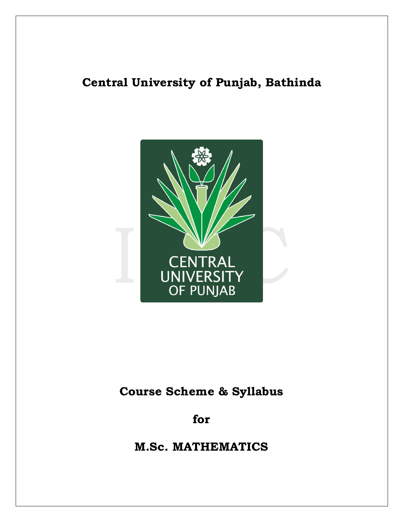# **Central University of Punjab, Bathinda**



# **Course Scheme & Syllabus**

**for**

**M.Sc. MATHEMATICS**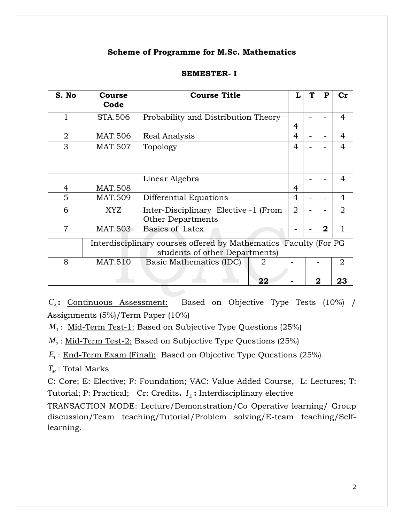### **Scheme of Programme for M.Sc. Mathematics**

| S. No                                                                                              | Course<br>Code | <b>Course Title</b>                                              | L              | T | P            | $cr$           |
|----------------------------------------------------------------------------------------------------|----------------|------------------------------------------------------------------|----------------|---|--------------|----------------|
| 1                                                                                                  | STA.506        | Probability and Distribution Theory                              | 4              |   |              | $\overline{4}$ |
| 2                                                                                                  | MAT.506        | <b>Real Analysis</b>                                             | 4              |   |              | 4              |
| 3                                                                                                  | <b>MAT.507</b> | Topology                                                         | 4              |   |              | 4              |
| 4                                                                                                  | <b>MAT.508</b> | Linear Algebra                                                   | 4              |   |              | 4              |
| 5                                                                                                  | <b>MAT.509</b> | Differential Equations                                           | 4              |   |              | 4              |
| 6                                                                                                  | XYZ            | Inter-Disciplinary Elective -1 (From<br><b>Other Departments</b> | $\overline{2}$ |   |              | $\overline{2}$ |
| 7                                                                                                  | MAT.503        | Basics of Latex                                                  |                |   | $\mathbf{2}$ |                |
| Interdisciplinary courses offered by Mathematics Faculty (For PG<br>students of other Departments) |                |                                                                  |                |   |              |                |
| 8                                                                                                  | <b>MAT.510</b> | Basic Mathematics (IDC)<br>2                                     |                |   |              | $\overline{2}$ |
|                                                                                                    |                | 22                                                               |                |   | 2            | 23             |

### **SEMESTER- I**

*C<sub>A</sub>*: Continuous Assessment: Based on Objective Type Tests (10%) / Assignments (5%)/Term Paper (10%)

*M*<sup>1</sup> : Mid-Term Test-1: Based on Subjective Type Questions (25%)

*M*<sub>2</sub>: <u>Mid-Term Test-2:</u> Based on Subjective Type Questions (25%)

 $E_{\tau}$ : <u>End-Term Exam (Final):</u> Based on Objective Type Questions (25%)

 $T_M$ : Total Marks

C: Core; E: Elective; F: Foundation; VAC: Value Added Course, L: Lectures; T: Tutorial; P: Practical; Cr: Credits.  $I<sub>E</sub>$ : Interdisciplinary elective

TRANSACTION MODE: Lecture/Demonstration/Co Operative learning/ Group discussion/Team teaching/Tutorial/Problem solving/E-team teaching/Selflearning.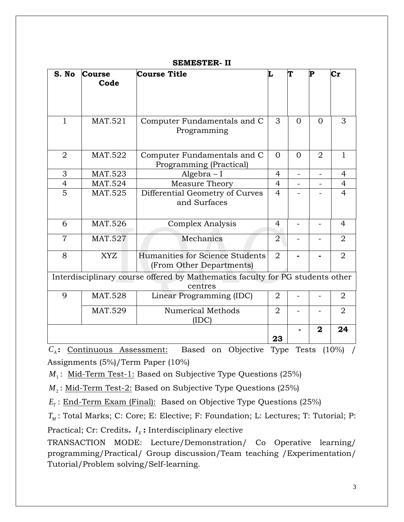| S. No          | <b>Course</b><br>Code                                                     | <b>Course Title</b>                                                                      | Τ.             |          | P              | $\mathbf{Cr}$  |
|----------------|---------------------------------------------------------------------------|------------------------------------------------------------------------------------------|----------------|----------|----------------|----------------|
| $\mathbf{1}$   | <b>MAT.521</b>                                                            | Computer Fundamentals and C<br>Programming                                               | 3              | $\Omega$ | $\Omega$       | 3              |
| $\overline{2}$ | <b>MAT.522</b>                                                            | Computer Fundamentals and C<br>Programming (Practical)                                   | $\Omega$       | $\Omega$ | $\overline{2}$ | $\mathbf{1}$   |
| 3              | MAT.523                                                                   | $Algebra - I$                                                                            | 4              |          |                | 4              |
| $\overline{4}$ | <b>MAT.524</b><br>Measure Theory                                          |                                                                                          | $\overline{4}$ |          |                | $\overline{4}$ |
| $\overline{5}$ | <b>MAT.525</b><br>Differential Geometry of Curves<br>and Surfaces         |                                                                                          | $\overline{4}$ |          |                | $\overline{4}$ |
| 6              | MAT.526                                                                   | Complex Analysis                                                                         |                |          |                | $\overline{4}$ |
| $\overline{7}$ | MAT.527                                                                   | Mechanics                                                                                | $\overline{2}$ |          |                | $\overline{2}$ |
| 8              | Humanities for Science Students<br><b>XYZ</b><br>(From Other Departments) |                                                                                          | 2              |          |                | 2              |
|                |                                                                           | Interdisciplinary course offered by Mathematics faculty for PG students other<br>centres |                |          |                |                |
| 9              | <b>MAT.528</b>                                                            | Linear Programming (IDC)                                                                 |                |          |                | $\overline{2}$ |
|                | <b>MAT.529</b><br><b>Numerical Methods</b><br>(IDC)                       |                                                                                          | $\overline{2}$ |          |                | $\overline{2}$ |
|                |                                                                           |                                                                                          | 23             |          | $\mathbf{2}$   | 24             |

### **SEMESTER- II**

*C<sup>A</sup>* **:** Continuous Assessment: Based on Objective Type Tests (10%) / Assignments (5%)/Term Paper (10%)

*M*<sup>1</sup> : Mid-Term Test-1: Based on Subjective Type Questions (25%)

*M*<sub>2</sub>: <u>Mid-Term Test-2:</u> Based on Subjective Type Questions (25%)

 $E_{\tau}$ : <u>End-Term Exam (Final):</u> Based on Objective Type Questions (25%)

*TM* : Total Marks; C: Core; E: Elective; F: Foundation; L: Lectures; T: Tutorial; P: Practical; Cr: Credits. *I<sub>E</sub>*: Interdisciplinary elective

TRANSACTION MODE: Lecture/Demonstration/ Co Operative learning/ programming/Practical/ Group discussion/Team teaching /Experimentation/ Tutorial/Problem solving/Self-learning.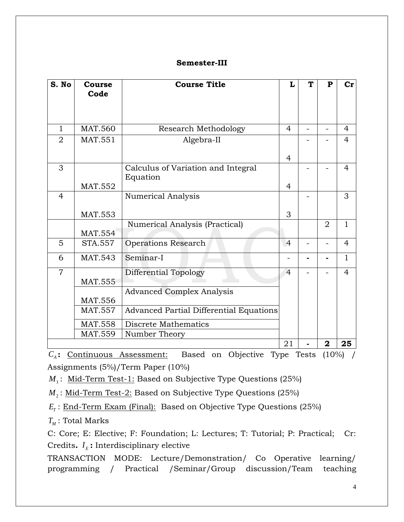### **Semester-III**

| S. No          | <b>Course</b><br>Code                                                    | <b>Course Title</b>                                                                                                                           | L              | T | $\mathbf P$    | $cr$           |
|----------------|--------------------------------------------------------------------------|-----------------------------------------------------------------------------------------------------------------------------------------------|----------------|---|----------------|----------------|
| $\mathbf{1}$   | <b>MAT.560</b>                                                           | Research Methodology                                                                                                                          | $\overline{4}$ |   |                | $\overline{4}$ |
| $\overline{2}$ | MAT.551                                                                  | Algebra-II                                                                                                                                    | 4              |   |                | $\overline{4}$ |
| 3              | MAT.552                                                                  | Calculus of Variation and Integral<br>Equation                                                                                                | $\overline{4}$ |   |                | $\overline{4}$ |
| $\overline{4}$ | <b>MAT.553</b>                                                           | <b>Numerical Analysis</b>                                                                                                                     | 3              |   |                | 3              |
|                | <b>MAT.554</b>                                                           | Numerical Analysis (Practical)                                                                                                                |                |   | $\overline{2}$ | $\mathbf{1}$   |
| 5              | <b>STA.557</b>                                                           | <b>Operations Research</b>                                                                                                                    | $\overline{4}$ |   |                | $\overline{4}$ |
| 6              | <b>MAT.543</b>                                                           | Seminar-I                                                                                                                                     |                |   |                | $\mathbf{1}$   |
| $\overline{7}$ | MAT.555<br><b>MAT.556</b><br>MAT.557<br><b>MAT.558</b><br><b>MAT.559</b> | Differential Topology<br><b>Advanced Complex Analysis</b><br>Advanced Partial Differential Equations<br>Discrete Mathematics<br>Number Theory | $\overline{4}$ |   |                | $\overline{4}$ |
|                |                                                                          |                                                                                                                                               | 21             |   | $\mathbf 2$    | 25             |

*C<sup>A</sup>* **:** Continuous Assessment: Based on Objective Type Tests (10%) / Assignments (5%)/Term Paper (10%)

*M*<sup>1</sup> : Mid-Term Test-1: Based on Subjective Type Questions (25%)

*M*<sup>2</sup> : Mid-Term Test-2: Based on Subjective Type Questions (25%)

 $E_{\tau}$ : <u>End-Term Exam (Final):</u> Based on Objective Type Questions (25%)

 $T_{\scriptscriptstyle M}$ : Total Marks

C: Core; E: Elective; F: Foundation; L: Lectures; T: Tutorial; P: Practical; Cr: Credits.  $I<sub>E</sub>$ : Interdisciplinary elective

TRANSACTION MODE: Lecture/Demonstration/ Co Operative learning/ programming / Practical /Seminar/Group discussion/Team teaching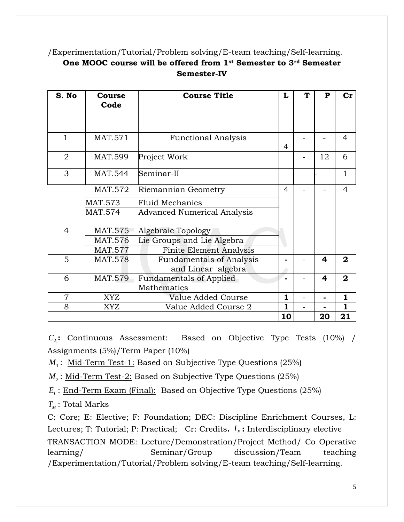# /Experimentation/Tutorial/Problem solving/E-team teaching/Self-learning. **One MOOC course will be offered from 1st Semester to 3rd Semester Semester-IV**

| S. No          | <b>Course</b><br>Code                 | <b>Course Title</b>                                   | L              | ጥ | $\mathbf{P}$ | $cr$           |
|----------------|---------------------------------------|-------------------------------------------------------|----------------|---|--------------|----------------|
|                |                                       |                                                       |                |   |              |                |
| $\mathbf{1}$   | MAT.571                               | <b>Functional Analysis</b>                            | 4              |   |              | $\overline{4}$ |
| $\overline{2}$ | <b>MAT.599</b>                        | Project Work                                          |                |   | 12           | 6              |
| 3              | <b>MAT.544</b>                        | Seminar-II                                            |                |   |              | 1              |
|                | MAT.572                               | Riemannian Geometry                                   | $\overline{4}$ |   |              | $\overline{4}$ |
|                | MAT.573                               | <b>Fluid Mechanics</b>                                |                |   |              |                |
|                | MAT.574                               | Advanced Numerical Analysis                           |                |   |              |                |
| $\overline{4}$ | <b>MAT.575</b>                        | Algebraic Topology                                    |                |   |              |                |
|                | Lie Groups and Lie Algebra<br>MAT.576 |                                                       |                |   |              |                |
|                | MAT.577                               | <b>Finite Element Analysis</b>                        |                |   |              |                |
| 5              | <b>MAT.578</b>                        | <b>Fundamentals of Analysis</b><br>and Linear algebra |                |   | 4            | $\overline{2}$ |
| 6              | <b>MAT.579</b>                        | <b>Fundamentals of Applied</b>                        |                |   | 4            | $\overline{2}$ |
|                |                                       | Mathematics                                           |                |   |              |                |
| $\overline{7}$ | <b>XYZ</b>                            | Value Added Course                                    | $\mathbf{1}$   |   |              | $\mathbf{1}$   |
| 8              | <b>XYZ</b>                            | Value Added Course 2                                  | $\mathbf{1}$   |   |              | 1              |
|                |                                       |                                                       | 10             |   | 20           | 21             |

*C<sup>A</sup>* **:** Continuous Assessment: Based on Objective Type Tests (10%) / Assignments (5%)/Term Paper (10%)

*M*<sup>1</sup> : Mid-Term Test-1: Based on Subjective Type Questions (25%)

 $M_{\scriptscriptstyle 2}$ : <u>Mid-Term Test-2:</u> Based on Subjective Type Questions (25%)

 $E_T$ : End-Term Exam (Final): Based on Objective Type Questions (25%)

 $T_{\scriptscriptstyle M}$ : Total Marks

C: Core; E: Elective; F: Foundation; DEC: Discipline Enrichment Courses, L: Lectures; T: Tutorial; P: Practical; Cr: Credits.  $I<sub>E</sub>$ : Interdisciplinary elective TRANSACTION MODE: Lecture/Demonstration/Project Method/ Co Operative learning/ Seminar/Group discussion/Team teaching /Experimentation/Tutorial/Problem solving/E-team teaching/Self-learning.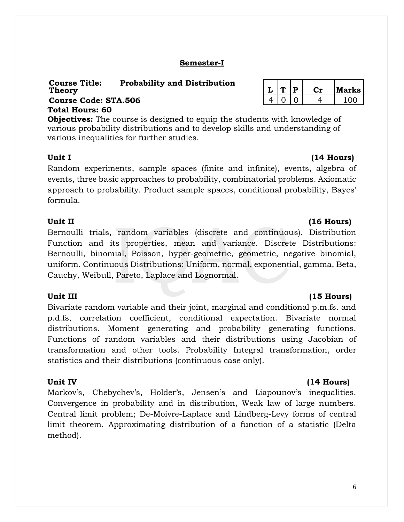# **Semester-I**

# **Course Title: Probability and Distribution Theory L T P Cr Marks Course Code: STA.506 Total Hours: 60**

**Objectives:** The course is designed to equip the students with knowledge of various probability distributions and to develop skills and understanding of various inequalities for further studies.

# Unit I (14 Hours)

Random experiments, sample spaces (finite and infinite), events, algebra of events, three basic approaches to probability, combinatorial problems. Axiomatic approach to probability. Product sample spaces, conditional probability, Bayes' formula.

# Unit II (16 Hours)

Bernoulli trials, random variables (discrete and continuous). Distribution Function and its properties, mean and variance. Discrete Distributions: Bernoulli, binomial, Poisson, hyper-geometric, geometric, negative binomial, uniform. Continuous Distributions: Uniform, normal, exponential, gamma, Beta, Cauchy, Weibull, Pareto, Laplace and Lognormal.

# Unit III (15 Hours)

Bivariate random variable and their joint, marginal and conditional p.m.fs. and p.d.fs, correlation coefficient, conditional expectation. Bivariate normal distributions. Moment generating and probability generating functions. Functions of random variables and their distributions using Jacobian of transformation and other tools. Probability Integral transformation, order statistics and their distributions (continuous case only).

Markov's, Chebychev's, Holder's, Jensen's and Liapounov's inequalities. Convergence in probability and in distribution, Weak law of large numbers. Central limit problem; De-Moivre-Laplace and Lindberg-Levy forms of central limit theorem. Approximating distribution of a function of a statistic (Delta method).

|  | D | larks |
|--|---|-------|
|  |   | ΩC    |

# Unit IV (14 Hours)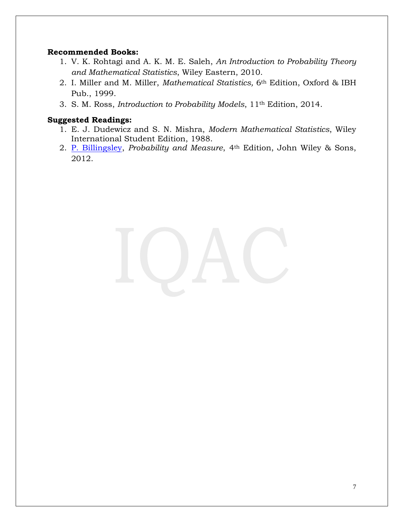### **Recommended Books:**

- 1. V. K. Rohtagi and A. K. M. E. Saleh, *An Introduction to Probability Theory and Mathematical Statistics*, Wiley Eastern, 2010.
- 2. I. Miller and M. Miller, *Mathematical Statistics,* 6th Edition, Oxford & IBH Pub., 1999.
- 3. S. M. Ross, *Introduction to Probability Models*, 11th Edition, 2014.

- 1. E. J. Dudewicz and S. N. Mishra, *Modern Mathematical Statistics*, Wiley International Student Edition, 1988.
- 2. [P. Billingsley,](https://www.google.co.in/search?tbo=p&tbm=bks&q=inauthor:%22Patrick+Billingsley%22) *Probability and Measure*, 4th Edition, John Wiley & Sons, 2012.

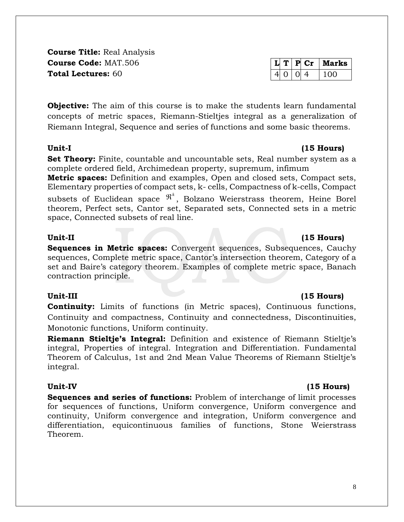**Course Title:** Real Analysis **Course Code:** MAT.506 **Total Lectures:** 60

**Objective:** The aim of this course is to make the students learn fundamental concepts of metric spaces, Riemann-Stieltjes integral as a generalization of Riemann Integral, Sequence and series of functions and some basic theorems.

**Set Theory:** Finite, countable and uncountable sets, Real number system as a complete ordered field, Archimedean property, supremum, infimum

**Metric spaces:** Definition and examples, Open and closed sets, Compact sets, Elementary properties of compact sets, k- cells, Compactness of k-cells, Compact

subsets of Euclidean space  $\mathfrak{R}^k$ , Bolzano Weierstrass theorem, Heine Borel theorem, Perfect sets, Cantor set, Separated sets, Connected sets in a metric space, Connected subsets of real line.

### **Unit-II (15 Hours)**

**Sequences in Metric spaces:** Convergent sequences, Subsequences, Cauchy sequences, Complete metric space, Cantor's intersection theorem, Category of a set and Baire's category theorem. Examples of complete metric space, Banach contraction principle.

**Continuity:** Limits of functions (in Metric spaces), Continuous functions, Continuity and compactness, Continuity and connectedness, Discontinuities, Monotonic functions, Uniform continuity.

**Riemann Stieltje's Integral:** Definition and existence of Riemann Stieltje's integral, Properties of integral. Integration and Differentiation. Fundamental Theorem of Calculus, 1st and 2nd Mean Value Theorems of Riemann Stieltje's integral.

**Sequences and series of functions:** Problem of interchange of limit processes for sequences of functions, Uniform convergence, Uniform convergence and continuity, Uniform convergence and integration, Uniform convergence and differentiation, equicontinuous families of functions, Stone Weierstrass Theorem.

# **Unit-III (15 Hours)**

# **Unit-IV (15 Hours)**

# **L T P Cr Marks**  $4$  0  $1$  0  $4$  100

# **Unit-I (15 Hours)**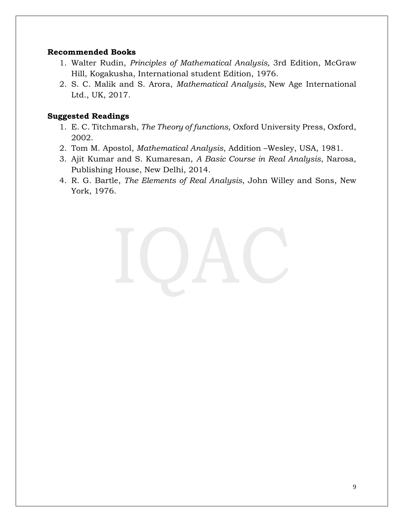### **Recommended Books**

- 1. Walter Rudin, *Principles of Mathematical Analysis,* 3rd Edition, McGraw Hill, Kogakusha, International student Edition, 1976.
- 2. S. C. Malik and S. Arora, *Mathematical Analysis*, New Age International Ltd., UK, 2017.

- 1. E. C. Titchmarsh, *The Theory of functions,* Oxford University Press, Oxford, 2002.
- 2. Tom M. Apostol, *Mathematical Analysis*, Addition –Wesley, USA, 1981.
- 3. Ajit Kumar and S. Kumaresan, *A Basic Course in Real Analysis*, Narosa, Publishing House, New Delhi, 2014.
- 4. R. G. Bartle, *The Elements of Real Analysis*, John Willey and Sons, New York, 1976.

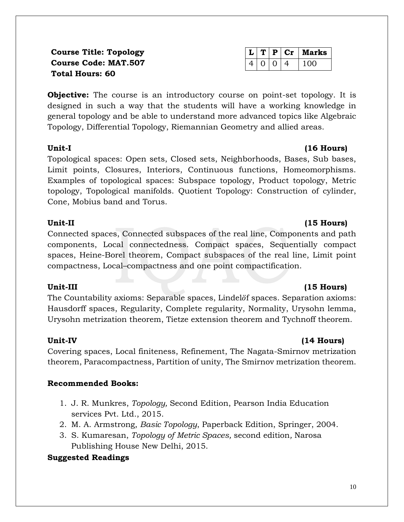**Course Title: Topology Course Code: MAT.507 Total Hours: 60** 

**Objective:** The course is an introductory course on point-set topology. It is designed in such a way that the students will have a working knowledge in general topology and be able to understand more advanced topics like Algebraic Topology, Differential Topology, Riemannian Geometry and allied areas.

### **Unit-I (16 Hours)**

Topological spaces: Open sets, Closed sets, Neighborhoods, Bases, Sub bases, Limit points, Closures, Interiors, Continuous functions, Homeomorphisms. Examples of topological spaces: Subspace topology, Product topology, Metric topology, Topological manifolds. Quotient Topology: Construction of cylinder, Cone, Mobius band and Torus.

# **Unit-II (15 Hours)**

Connected spaces, Connected subspaces of the real line, Components and path components, Local connectedness. Compact spaces, Sequentially compact spaces, Heine-Borel theorem, Compact subspaces of the real line, Limit point compactness, Local–compactness and one point compactification.

# **Unit-III (15 Hours)**

The Countability axioms: Separable spaces, Lindelöf spaces. Separation axioms: Hausdorff spaces, Regularity, Complete regularity, Normality, Urysohn lemma, Urysohn metrization theorem, Tietze extension theorem and Tychnoff theorem.

# **Unit-IV (14 Hours)**

Covering spaces, Local finiteness, Refinement, The Nagata-Smirnov metrization theorem, Paracompactness, Partition of unity, The Smirnov metrization theorem.

# **Recommended Books:**

- 1. J. R. Munkres, *Topology,* Second Edition, Pearson India Education services Pvt. Ltd., 2015.
- 2. M. A. Armstrong, *Basic Topology*, Paperback Edition, Springer, 2004.
- 3. S. Kumaresan, *Topology of Metric Spaces,* second edition*,* Narosa Publishing House New Delhi, 2015.

|  |          | $\mathbf{r}   \mathbf{p}   \mathbf{Cr}  $ Marks |
|--|----------|-------------------------------------------------|
|  | $\Omega$ | 1 በበ                                            |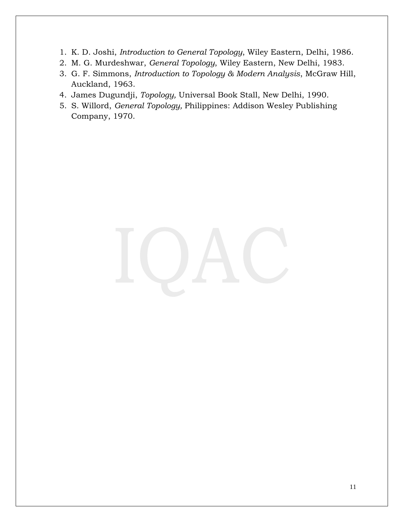- 1. K. D. Joshi, *Introduction to General Topology*, Wiley Eastern, Delhi, 1986.
- 2. M. G. Murdeshwar, *General Topology*, Wiley Eastern, New Delhi, 1983.
- 3. G. F. Simmons, *Introduction to Topology & Modern Analysis*, McGraw Hill, Auckland, 1963.
- 4. James Dugundji, *Topology,* Universal Book Stall, New Delhi, 1990.
- 5. S. Willord, *General Topology,* Philippines: Addison Wesley Publishing Company, 1970.

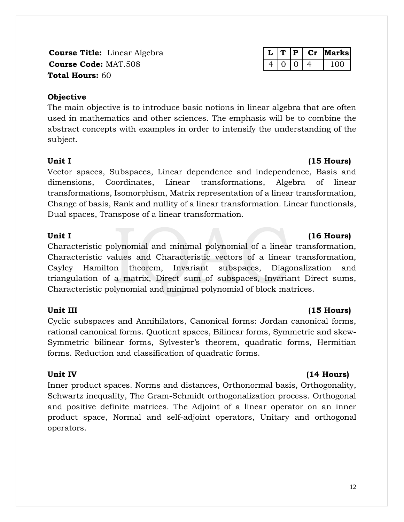**Course Title:** Linear Algebra **Linear Algebra L L T P Cr Marks Course Code:** MAT.508 4 0 4 0 4 100 **Total Hours:** 60

### **Objective**

The main objective is to introduce basic notions in linear algebra that are often used in mathematics and other sciences. The emphasis will be to combine the abstract concepts with examples in order to intensify the understanding of the subject.

Vector spaces, Subspaces, Linear dependence and independence, Basis and dimensions, Coordinates, Linear transformations, Algebra of linear transformations, Isomorphism, Matrix representation of a linear transformation, Change of basis, Rank and nullity of a linear transformation. Linear functionals, Dual spaces, Transpose of a linear transformation.

### Unit I (16 Hours)

Characteristic polynomial and minimal polynomial of a linear transformation, Characteristic values and Characteristic vectors of a linear transformation, Cayley Hamilton theorem, Invariant subspaces, Diagonalization and triangulation of a matrix, Direct sum of subspaces, Invariant Direct sums, Characteristic polynomial and minimal polynomial of block matrices.

### **Unit III (15 Hours)**

Cyclic subspaces and Annihilators, Canonical forms: Jordan canonical forms, rational canonical forms. Quotient spaces, Bilinear forms, Symmetric and skew-Symmetric bilinear forms, Sylvester's theorem, quadratic forms, Hermitian forms. Reduction and classification of quadratic forms.

### Unit IV (14 Hours)

Inner product spaces. Norms and distances, Orthonormal basis, Orthogonality, Schwartz inequality, The Gram-Schmidt orthogonalization process. Orthogonal and positive definite matrices. The Adjoint of a linear operator on an inner product space, Normal and self-adjoint operators, Unitary and orthogonal operators.

### 12

# Unit I (15 **Hours)**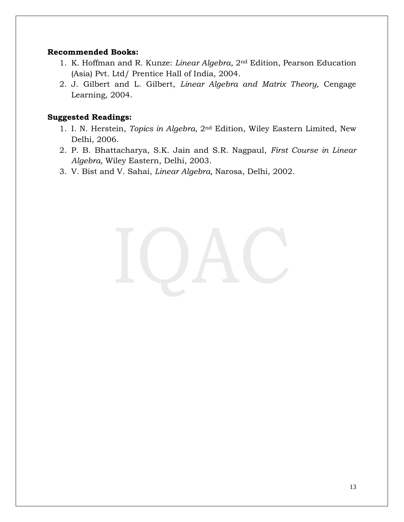### **Recommended Books:**

- 1. K. Hoffman and R. Kunze: *Linear Algebra,* 2nd Edition, Pearson Education (Asia) Pvt. Ltd/ Prentice Hall of India, 2004.
- 2. J. Gilbert and L. Gilbert, *Linear Algebra and Matrix Theory,* Cengage Learning, 2004.

- 1. I. N. Herstein, *Topics in Algebra,* 2nd Edition, Wiley Eastern Limited, New Delhi, 2006.
- 2. P. B. Bhattacharya, S.K. Jain and S.R. Nagpaul, *First Course in Linear Algebra,* Wiley Eastern, Delhi, 2003.
- 3. V. Bist and V. Sahai, *Linear Algebra,* Narosa, Delhi, 2002.

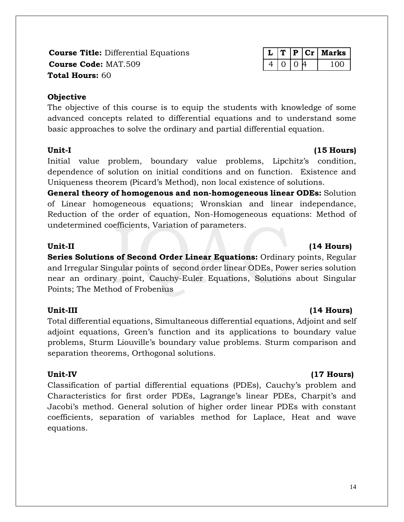**Course Title:** Differential Equations **L T P Cr Marks Course Code:** MAT.509  $\vert 4 \vert 0 \vert 0 \vert 4 \vert 100$ **Total Hours:** 60

# **Objective**

The objective of this course is to equip the students with knowledge of some advanced concepts related to differential equations and to understand some basic approaches to solve the ordinary and partial differential equation.

Initial value problem, boundary value problems, Lipchitz's condition, dependence of solution on initial conditions and on function. Existence and Uniqueness theorem (Picard's Method), non local existence of solutions.

**General theory of homogenous and non-homogeneous linear ODEs:** Solution of Linear homogeneous equations; Wronskian and linear independance, Reduction of the order of equation, Non-Homogeneous equations: Method of undetermined coefficients, Variation of parameters.

**Series Solutions of Second Order Linear Equations:** Ordinary points, Regular and Irregular Singular points of second order linear ODEs, Power series solution near an ordinary point, Cauchy-Euler Equations, Solutions about Singular Points; The Method of Frobenius

# **Unit-III (14 Hours)**

Total differential equations, Simultaneous differential equations, Adjoint and self adjoint equations, Green's function and its applications to boundary value problems, Sturm Liouville's boundary value problems. Sturm comparison and separation theorems, Orthogonal solutions.

Classification of partial differential equations (PDEs), Cauchy's problem and Characteristics for first order PDEs, Lagrange's linear PDEs, Charpit's and Jacobi's method. General solution of higher order linear PDEs with constant coefficients, separation of variables method for Laplace, Heat and wave equations.

# **Unit-II (14 Hours)**

# **Unit-IV (17 Hours)**

### Unit-I (15 Hours)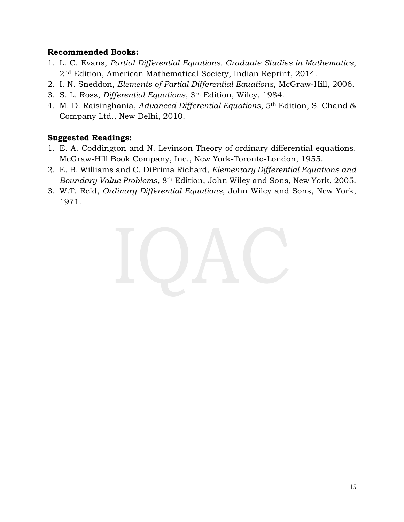# **Recommended Books:**

- 1. L. C. Evans, *Partial Differential Equations. Graduate Studies in Mathematics*, 2nd Edition, American Mathematical Society, Indian Reprint, 2014.
- 2. I. N. Sneddon, *Elements of Partial Differential Equations*, McGraw-Hill, 2006.
- 3. S. L. Ross, *Differential Equations*, 3rd Edition, Wiley, 1984.
- 4. M. D. Raisinghania, *Advanced Differential Equations*, 5th Edition, S. Chand & Company Ltd., New Delhi, 2010.

- 1. E. A. Coddington and N. Levinson Theory of ordinary differential equations. McGraw-Hill Book Company, Inc., New York-Toronto-London, 1955.
- 2. E. B. Williams and C. DiPrima Richard, *Elementary Differential Equations and Boundary Value Problems*, 8th Edition, John Wiley and Sons, New York, 2005.
- 3. W.T. Reid, *Ordinary Differential Equations*, John Wiley and Sons, New York, 1971.

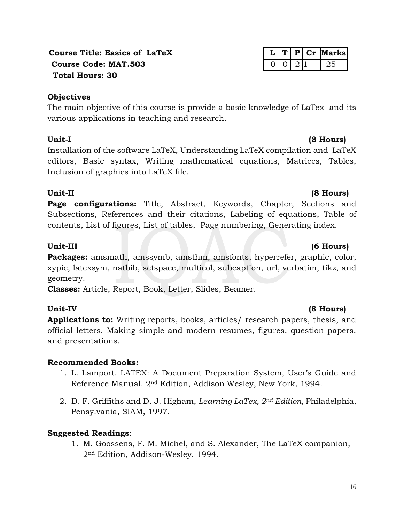# **Course Title: Basics of LaTeX L T P Cr Marks Course Code: MAT.503** 0 0 2 1 25  **Total Hours: 30**

# **Objectives**

The main objective of this course is provide a basic knowledge of LaTex and its various applications in teaching and research.

Installation of the software LaTeX, Understanding LaTeX compilation and LaTeX editors, Basic syntax, Writing mathematical equations, Matrices, Tables, Inclusion of graphics into LaTeX file.

# **Unit-II (8 Hours)**

**Page configurations:** Title, Abstract, Keywords, Chapter, Sections and Subsections, References and their citations, Labeling of equations, Table of contents, List of figures, List of tables, Page numbering, Generating index.

# Unit-III (6 Hours)

**Packages:** amsmath, amssymb, amsthm, amsfonts, hyperrefer, graphic, color, xypic, latexsym, natbib, setspace, multicol, subcaption, url, verbatim, tikz, and geometry.

**Classes:** Article, Report, Book, Letter, Slides, Beamer.

**Applications to:** Writing reports, books, articles/ research papers, thesis, and official letters. Making simple and modern resumes, figures, question papers, and presentations.

# **Recommended Books:**

- 1. L. Lamport. LATEX: A Document Preparation System, User's Guide and Reference Manual. 2nd Edition, Addison Wesley, New York, 1994.
- 2. D. F. Griffiths and D. J. Higham, *Learning LaTex, 2nd Edition,* Philadelphia, Pensylvania, SIAM, 1997.

# **Suggested Readings**:

1. M. Goossens, F. M. Michel, and S. Alexander, The LaTeX companion, 2nd Edition, Addison-Wesley, 1994.

# **Unit-IV (8 Hours)**

# **Unit-I (8 Hours)**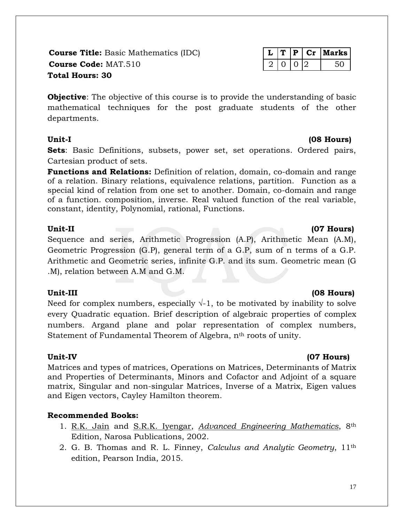**Course Title:** Basic Mathematics (IDC) **Course Code: MAT.510 Total Hours: 30**

|  |  | arks |
|--|--|------|
|  |  |      |

**Objective**: The objective of this course is to provide the understanding of basic mathematical techniques for the post graduate students of the other departments.

**Sets**: Basic Definitions, subsets, power set, set operations. Ordered pairs, Cartesian product of sets.

**Functions and Relations:** Definition of relation, domain, co-domain and range of a relation. Binary relations, equivalence relations, partition. Function as a special kind of relation from one set to another. Domain, co-domain and range of a function. composition, inverse. Real valued function of the real variable, constant, identity, Polynomial, rational, Functions.

# **Unit-II (07 Hours)**

Sequence and series, Arithmetic Progression (A.P), Arithmetic Mean (A.M), Geometric Progression (G.P), general term of a G.P, sum of n terms of a G.P. Arithmetic and Geometric series, infinite G.P. and its sum. Geometric mean (G .M), relation between A.M and G.M.

# **Unit-III (08 Hours)**

Need for complex numbers, especially  $\sqrt{-1}$ , to be motivated by inability to solve every Quadratic equation. Brief description of algebraic properties of complex numbers. Argand plane and polar representation of complex numbers, Statement of Fundamental Theorem of Algebra, n<sup>th</sup> roots of unity.

# **Unit-IV (07 Hours)**

Matrices and types of matrices, Operations on Matrices, Determinants of Matrix and Properties of Determinants, Minors and Cofactor and Adjoint of a square matrix, Singular and non-singular Matrices, Inverse of a Matrix, Eigen values and Eigen vectors, Cayley Hamilton theorem.

# **Recommended Books:**

- 1. [R.K. Jain](http://www.goodreads.com/book/show/4260548-advanced-engineering-mathematics) and [S.R.K. Iyengar,](http://www.goodreads.com/book/show/4260548-advanced-engineering-mathematics) *[Advanced Engineering Mathematics](http://www.goodreads.com/book/show/4260548-advanced-engineering-mathematics)*, 8th Edition, Narosa Publications, 2002.
- 2. G. B. Thomas and R. L. Finney, *Calculus and Analytic Geometry*, 11th edition, Pearson India, 2015.

# **Unit-I (08 Hours)**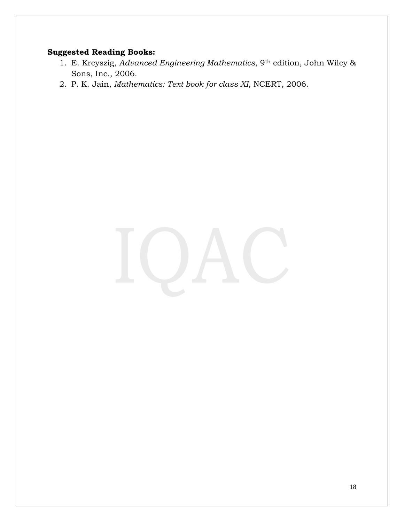# **Suggested Reading Books:**

- 1. E. Kreyszig, *Advanced Engineering Mathematics*, 9th edition, John Wiley & Sons, Inc., 2006.
- 2. P. K. Jain, *Mathematics: Text book for class XI*, NCERT, 2006.

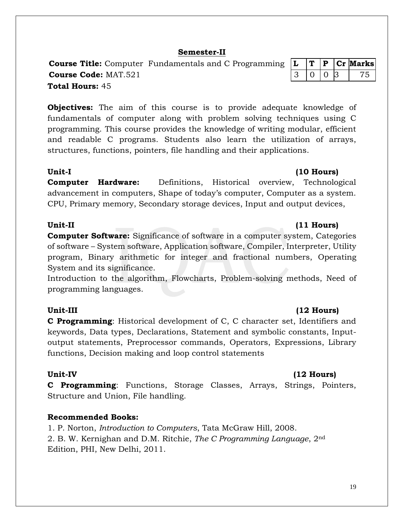19

# **Semester-II**

**Course Title:** Computer Fundamentals and C Programming  $|L|T|P|Cr$  **Marks Course Code:** MAT.521 3 0 0 3 75 **Total Hours:** 45

**Objectives:** The aim of this course is to provide adequate knowledge of fundamentals of computer along with problem solving techniques using C programming. This course provides the knowledge of writing modular, efficient and readable C programs. Students also learn the utilization of arrays, structures, functions, pointers, file handling and their applications.

### **Unit-I (10 Hours)**

**Computer Hardware:** Definitions, Historical overview, Technological advancement in computers, Shape of today's computer, Computer as a system. CPU, Primary memory, Secondary storage devices, Input and output devices,

### **Unit-II (11 Hours)**

**Computer Software:** Significance of software in a computer system, Categories of software – System software, Application software, Compiler, Interpreter, Utility program, Binary arithmetic for integer and fractional numbers, Operating System and its significance.

Introduction to the algorithm, Flowcharts, Problem-solving methods, Need of programming languages.

**C Programming**: Historical development of C, C character set, Identifiers and keywords, Data types, Declarations, Statement and symbolic constants, Inputoutput statements, Preprocessor commands, Operators, Expressions, Library functions, Decision making and loop control statements

**C Programming**: Functions, Storage Classes, Arrays, Strings, Pointers, Structure and Union, File handling.

# **Recommended Books:**

1. P. Norton, *Introduction to Computers*, Tata McGraw Hill, 2008. 2. B. W. Kernighan and D.M. Ritchie, *The C Programming Language*, 2nd Edition, PHI, New Delhi, 2011.

# **Unit-III (12 Hours)**

# Unit-IV (12 Hours)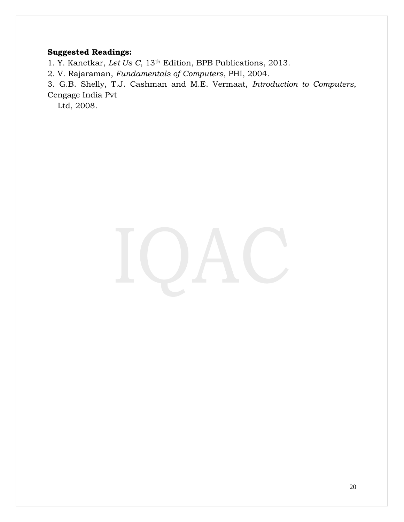# **Suggested Readings:**

1. Y. Kanetkar, *Let Us C*, 13th Edition, BPB Publications, 2013.

2. V. Rajaraman, *Fundamentals of Computers*, PHI, 2004.

3. G.B. Shelly, T.J. Cashman and M.E. Vermaat, *Introduction to Computers*, Cengage India Pvt

Ltd, 2008.

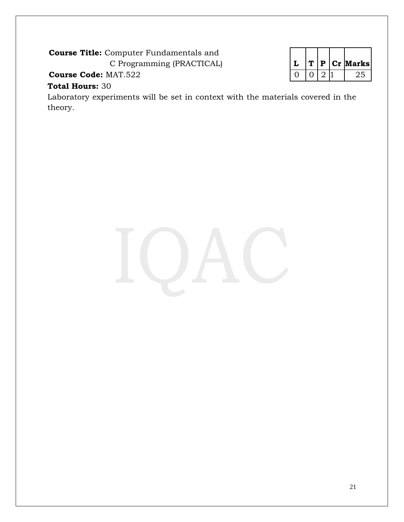**Course Title:** Computer Fundamentals and

C Programming (PRACTICAL) **L T P Cr Marks**

**Course Code:** MAT.522 0 0 2 1 25

# **Total Hours:** 30

Laboratory experiments will be set in context with the materials covered in the theory.

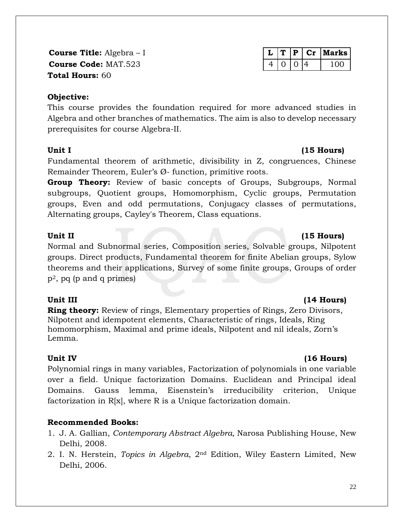**Course Title:** Algebra – I **Course Code: MAT.523 Total Hours:** 60

# **Objective:**

This course provides the foundation required for more advanced studies in Algebra and other branches of mathematics. The aim is also to develop necessary prerequisites for course Algebra-II.

Fundamental theorem of arithmetic, divisibility in Z, congruences, Chinese Remainder Theorem, Euler's Ø- function, primitive roots.

**Group Theory:** Review of basic concepts of Groups, Subgroups, Normal subgroups, Quotient groups, Homomorphism, Cyclic groups, Permutation groups, Even and odd permutations, Conjugacy classes of permutations, Alternating groups, Cayley's Theorem, Class equations.

# Unit II (15 Hours)

Normal and Subnormal series, Composition series, Solvable groups, Nilpotent groups. Direct products, Fundamental theorem for finite Abelian groups, Sylow theorems and their applications, Survey of some finite groups, Groups of order  $p^2$ , pq (p and q primes)

**Ring theory:** Review of rings, Elementary properties of Rings, Zero Divisors, Nilpotent and idempotent elements, Characteristic of rings, Ideals, Ring homomorphism, Maximal and prime ideals, Nilpotent and nil ideals, Zorn's Lemma.

Polynomial rings in many variables, Factorization of polynomials in one variable over a field. Unique factorization Domains. Euclidean and Principal ideal Domains. Gauss lemma, Eisenstein's irreducibility criterion, Unique factorization in  $R[x]$ , where R is a Unique factorization domain.

# **Recommended Books:**

- 1. J. A. Gallian, *Contemporary Abstract Algebra,* Narosa Publishing House, New Delhi, 2008.
- 2. I. N. Herstein, *Topics in Algebra*, 2nd Edition, Wiley Eastern Limited, New Delhi, 2006.

|  | D | $-100$ | Marks |
|--|---|--------|-------|
|  |   |        |       |

# **Unit III (14 Hours)**

# Unit IV (16 Hours)

### 22

# **Unit I (15 Hours)**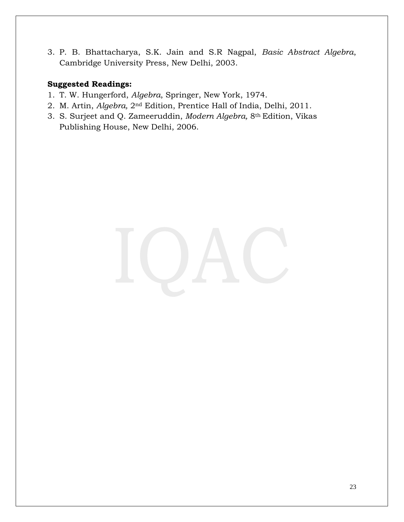3. P. B. Bhattacharya, S.K. Jain and S.R Nagpal, *Basic Abstract Algebra*, Cambridge University Press, New Delhi, 2003.

- 1. T. W. Hungerford, *Algebra*, Springer, New York, 1974.
- 2. M. Artin, *Algebra,* 2nd Edition, Prentice Hall of India, Delhi, 2011.
- 3. S. Surjeet and Q. Zameeruddin, *Modern Algebra,* 8th Edition, Vikas Publishing House, New Delhi, 2006.

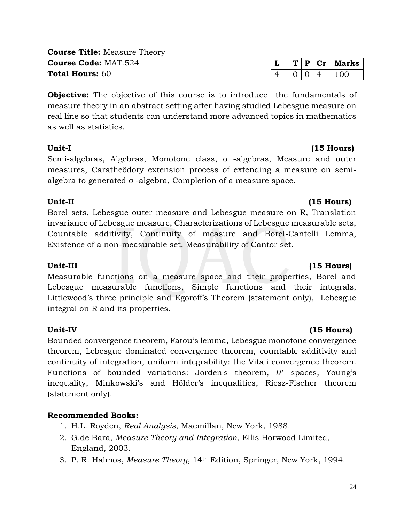**Course Title:** Measure Theory **Course Code:** MAT.524 **Total Hours:** 60

**Objective:** The objective of this course is to introduce the fundamentals of measure theory in an abstract setting after having studied Lebesgue measure on real line so that students can understand more advanced topics in mathematics as well as statistics.

Semi-algebras, Algebras, Monotone class, σ -algebras, Measure and outer measures, Caratheödory extension process of extending a measure on semialgebra to generated σ -algebra, Completion of a measure space.

# **Unit-II (15 Hours)**

Borel sets, Lebesgue outer measure and Lebesgue measure on R, Translation invariance of Lebesgue measure, Characterizations of Lebesgue measurable sets, Countable additivity, Continuity of measure and Borel-Cantelli Lemma, Existence of a non-measurable set, Measurability of Cantor set.

# **Unit-III (15 Hours)**

Measurable functions on a measure space and their properties, Borel and Lebesgue measurable functions, Simple functions and their integrals, Littlewood's three principle and Egoroff's Theorem (statement only), Lebesgue integral on R and its properties.

Bounded convergence theorem, Fatou's lemma, Lebesgue monotone convergence theorem, Lebesgue dominated convergence theorem, countable additivity and continuity of integration, uniform integrability: the Vitali convergence theorem. Functions of bounded variations: Jorden's theorem,  $L^p$  spaces, Young's inequality, Minkowski's and Hölder's inequalities, Riesz-Fischer theorem (statement only).

# **Recommended Books:**

- 1. H.L. Royden, *Real Analysis*, Macmillan, New York, 1988.
- 2. G.de Bara, *Measure Theory and Integration*, Ellis Horwood Limited, England, 2003.
- 3. P. R. Halmos, *Measure Theory*, 14th Edition, Springer, New York, 1994.

# **Unit-IV (15 Hours)**

# **Unit-I (15 Hours)**

|  | D | Marks |
|--|---|-------|
|  |   | 100   |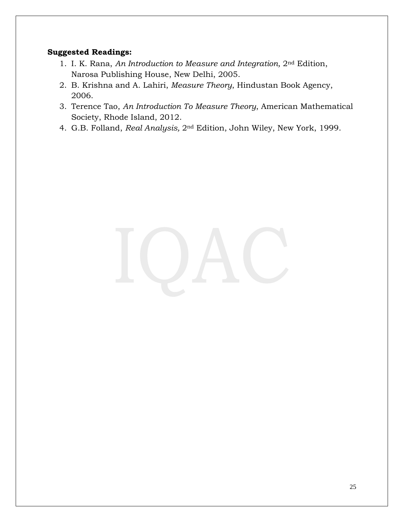- 1. I. K. Rana, *An Introduction to Measure and Integration,* 2nd Edition, Narosa Publishing House, New Delhi, 2005.
- 2. B. Krishna and A. Lahiri, *Measure Theory*, Hindustan Book Agency, 2006.
- 3. Terence Tao, *An Introduction To Measure Theory*, American Mathematical Society, Rhode Island, 2012.
- 4. G.B. Folland, *Real Analysis,* 2nd Edition, John Wiley, New York, 1999.

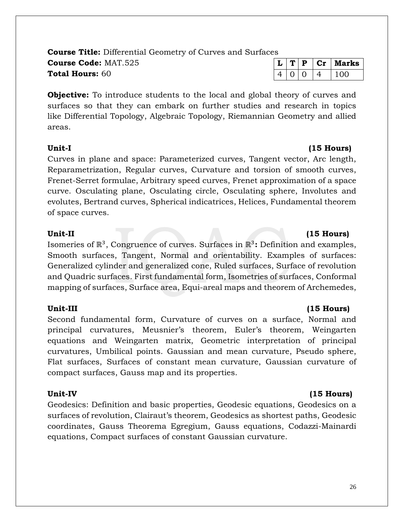26

### **Course Title:** Differential Geometry of Curves and Surfaces **Course Code:** MAT.525 **Total Hours:** 60

**Objective:** To introduce students to the local and global theory of curves and surfaces so that they can embark on further studies and research in topics like Differential Topology, Algebraic Topology, Riemannian Geometry and allied areas.

Curves in plane and space: Parameterized curves, Tangent vector, Arc length, Reparametrization, Regular curves, Curvature and torsion of smooth curves, Frenet-Serret formulae, Arbitrary speed curves, Frenet approximation of a space curve. Osculating plane, Osculating circle, Osculating sphere, Involutes and evolutes, Bertrand curves, Spherical indicatrices, Helices, Fundamental theorem of space curves.

# **Unit-II (15 Hours)**

Isomeries of ℝ<sup>3</sup>, Congruence of curves. Surfaces in ℝ<sup>3</sup>: Definition and examples, Smooth surfaces, Tangent, Normal and orientability. Examples of surfaces: Generalized cylinder and generalized cone, Ruled surfaces, Surface of revolution and Quadric surfaces. First fundamental form, Isometries of surfaces, Conformal mapping of surfaces, Surface area, Equi-areal maps and theorem of Archemedes,

# **Unit-III (15 Hours)**

Second fundamental form, Curvature of curves on a surface, Normal and principal curvatures, Meusnier's theorem, Euler's theorem, Weingarten equations and Weingarten matrix, Geometric interpretation of principal curvatures, Umbilical points. Gaussian and mean curvature, Pseudo sphere, Flat surfaces, Surfaces of constant mean curvature, Gaussian curvature of compact surfaces, Gauss map and its properties.

Geodesics: Definition and basic properties, Geodesic equations, Geodesics on a surfaces of revolution, Clairaut's theorem, Geodesics as shortest paths, Geodesic coordinates, Gauss Theorema Egregium, Gauss equations, Codazzi-Mainardi equations, Compact surfaces of constant Gaussian curvature.

# **Unit-I (15 Hours)**

# **Unit-IV (15 Hours)**

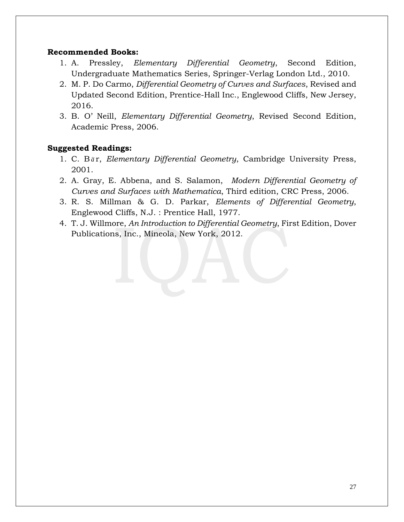### **Recommended Books:**

- 1. A. Pressley, *Elementary Differential Geometry*, Second Edition, Undergraduate Mathematics Series, Springer-Verlag London Ltd., 2010.
- 2. M. P. Do Carmo, *Differential Geometry of Curves and Surfaces*, Revised and Updated Second Edition, Prentice-Hall Inc., Englewood Cliffs, New Jersey, 2016.
- 3. B. O' Neill, *Elementary Differential Geometry*, Revised Second Edition, Academic Press, 2006.

- 1. C. B *a* r, *Elementary Differential Geometry*, Cambridge University Press, 2001.
- 2. A. Gray, E. Abbena, and S. Salamon, *Modern Differential Geometry of Curves and Surfaces with Mathematica*, Third edition, CRC Press, 2006.
- 3. R. S. Millman & G. D. Parkar, *Elements of Differential Geometry*, Englewood Cliffs, N.J. : Prentice Hall, 1977.
- 4. T. J. Willmore, *An Introduction to Differential Geometry*, First Edition, Dover Publications, Inc., Mineola, New York, 2012.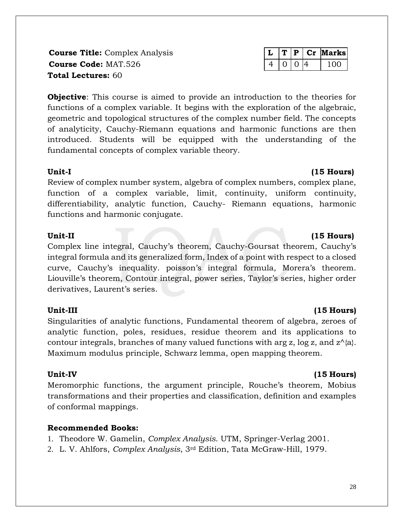**Course Title:** Complex Analysis **L T P Cr Marks Course Code:** MAT.526 4 0 0 4 100 4 100 **Total Lectures:** 60

**Objective**: This course is aimed to provide an introduction to the theories for functions of a complex variable. It begins with the exploration of the algebraic, geometric and topological structures of the complex number field. The concepts of analyticity, Cauchy-Riemann equations and harmonic functions are then introduced. Students will be equipped with the understanding of the fundamental concepts of complex variable theory.

# **Unit-I (15 Hours)**

Review of complex number system, algebra of complex numbers, complex plane, function of a complex variable, limit, continuity, uniform continuity, differentiability, analytic function, Cauchy- Riemann equations, harmonic functions and harmonic conjugate.

# Unit-II (15 Hours)

Complex line integral, Cauchy's theorem, Cauchy-Goursat theorem, Cauchy's integral formula and its generalized form, Index of a point with respect to a closed curve, Cauchy's inequality. poisson's integral formula, Morera's theorem. Liouville's theorem, Contour integral, power series, Taylor's series, higher order derivatives, Laurent's series.

Singularities of analytic functions, Fundamental theorem of algebra, zeroes of analytic function, poles, residues, residue theorem and its applications to contour integrals, branches of many valued functions with arg z, log z, and  $z^{\wedge}$ {a}. Maximum modulus principle, Schwarz lemma, open mapping theorem.

Meromorphic functions, the argument principle, Rouche's theorem, Mobius transformations and their properties and classification, definition and examples of conformal mappings.

# **Recommended Books:**

1. Theodore W. Gamelin, *Complex Analysis*. UTM, Springer-Verlag 2001.

2. L. V. Ahlfors, *Complex Analysis*, 3rd Edition, Tata McGraw-Hill, 1979.

# **Unit-III (15 Hours)**

# **Unit-IV (15 Hours)**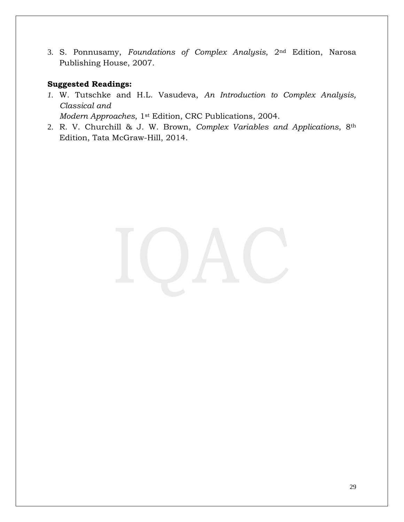3. S. Ponnusamy, *Foundations of Complex Analysis*, 2nd Edition, Narosa Publishing House, 2007.

# **Suggested Readings:**

*1.* W. Tutschke and H.L. Vasudeva, *An Introduction to Complex Analysis, Classical and* 

*Modern Approaches*, 1st Edition, CRC Publications, 2004.

2. R. V. Churchill & J. W. Brown, *Complex Variables and Applications*, 8th Edition, Tata McGraw-Hill, 2014.

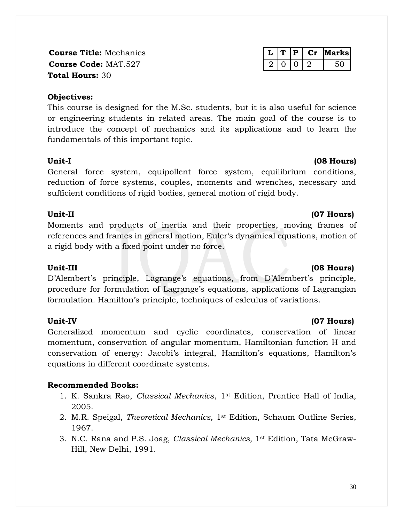**Course Title:** Mechanics **L T P Cr Marks Course Code:** MAT.527 2 0 2 3 0 2 50 **Total Hours:** 30

### **Objectives:**

This course is designed for the M.Sc. students, but it is also useful for science or engineering students in related areas. The main goal of the course is to introduce the concept of mechanics and its applications and to learn the fundamentals of this important topic.

### **Unit-I (08 Hours)**

General force system, equipollent force system, equilibrium conditions, reduction of force systems, couples, moments and wrenches, necessary and sufficient conditions of rigid bodies, general motion of rigid body.

# **Unit-II (07 Hours)**

Moments and products of inertia and their properties, moving frames of references and frames in general motion, Euler's dynamical equations, motion of a rigid body with a fixed point under no force.

# **Unit-III (08 Hours)**

D'Alembert's principle, Lagrange's equations, from D'Alembert's principle, procedure for formulation of Lagrange's equations, applications of Lagrangian formulation. Hamilton's principle, techniques of calculus of variations.

Generalized momentum and cyclic coordinates, conservation of linear momentum, conservation of angular momentum, Hamiltonian function H and conservation of energy: Jacobi's integral, Hamilton's equations, Hamilton's equations in different coordinate systems.

# **Recommended Books:**

- 1. K. Sankra Rao, *Classical Mechanics*, 1st Edition, Prentice Hall of India, 2005.
- 2. M.R. Speigal, *Theoretical Mechanics*, 1st Edition, Schaum Outline Series, 1967.
- 3. N.C. Rana and P.S. Joag, *Classical Mechanics,* 1st Edition, Tata McGraw-Hill, New Delhi, 1991.

# **Unit-IV (07 Hours)**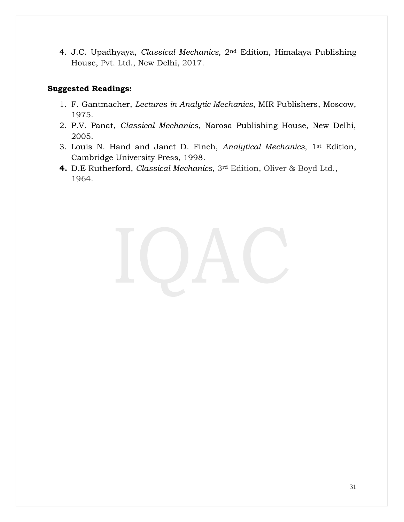4. J.C. Upadhyaya, *Classical Mechanics,* 2nd Edition, Himalaya Publishing House, Pvt. Ltd., New Delhi, 2017.

- 1. F. Gantmacher, *Lectures in Analytic Mechanics*, MIR Publishers, Moscow, 1975.
- 2. P.V. Panat, *Classical Mechanics*, Narosa Publishing House, New Delhi, 2005.
- 3. Louis N. Hand and Janet D. Finch, *Analytical Mechanics,* 1st Edition, Cambridge University Press, 1998.
- **4.** D.E Rutherford, *Classical Mechanics*, 3rd Edition, Oliver & Boyd Ltd., 1964.

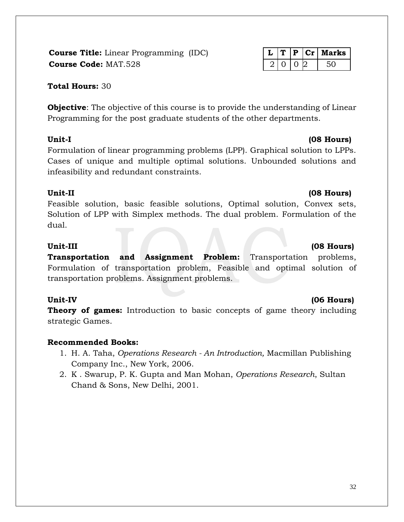**Course Title:** Linear Programming (IDC) **L T P Cr Marks Course Code:** MAT.528 2 0 0 2 50

# **Total Hours:** 30

**Objective**: The objective of this course is to provide the understanding of Linear Programming for the post graduate students of the other departments.

Formulation of linear programming problems (LPP). Graphical solution to LPPs. Cases of unique and multiple optimal solutions. Unbounded solutions and infeasibility and redundant constraints.

# **Unit-II (08 Hours)**

Feasible solution, basic feasible solutions, Optimal solution, Convex sets, Solution of LPP with Simplex methods. The dual problem. Formulation of the dual.

# **Unit-III (08 Hours)**

**Transportation and Assignment Problem:** Transportation problems, Formulation of transportation problem, Feasible and optimal solution of transportation problems. Assignment problems.

### **Unit-IV (06 Hours)**

**Theory of games:** Introduction to basic concepts of game theory including strategic Games.

# **Recommended Books:**

- 1. H. A. Taha, *Operations Research - An Introduction,* Macmillan Publishing Company Inc., New York, 2006.
- 2. K . Swarup, P. K. Gupta and Man Mohan, *Operations Research*, Sultan Chand & Sons, New Delhi, 2001.

# **Unit-I (08 Hours)**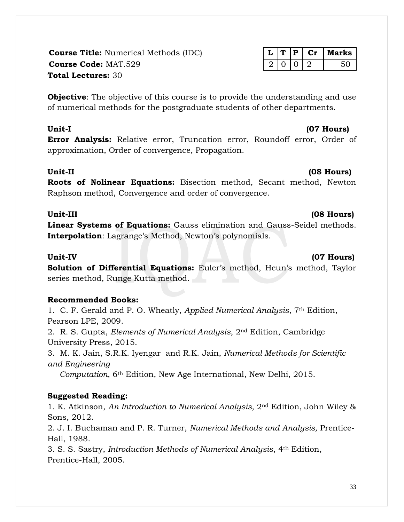33

**Course Title:** Numerical Methods (IDC) **L T P Cr Marks Course Code:** MAT.529 2 2 0 2 30 2 50 **Total Lectures:** 30

**Objective**: The objective of this course is to provide the understanding and use of numerical methods for the postgraduate students of other departments.

**Error Analysis:** Relative error, Truncation error, Roundoff error, Order of approximation, Order of convergence, Propagation.

# **Unit-II (08 Hours)**

**Roots of Nolinear Equations:** Bisection method, Secant method, Newton Raphson method, Convergence and order of convergence.

**Linear Systems of Equations:** Gauss elimination and Gauss-Seidel methods. **Interpolation**: Lagrange's Method, Newton's polynomials.

**Solution of Differential Equations:** Euler's method, Heun's method, Taylor series method, Runge Kutta method.

# **Recommended Books:**

1. C. F. Gerald and P. O. Wheatly, *Applied Numerical Analysis*, 7th Edition, Pearson LPE, 2009.

2. R. S. Gupta, *Elements of Numerical Analysis*, 2nd Edition, Cambridge University Press, 2015.

3. M. K. Jain, S.R.K. Iyengar and R.K. Jain, *Numerical Methods for Scientific and Engineering* 

 *Computation*, 6th Edition, New Age International, New Delhi, 2015.

# **Suggested Reading:**

1. K. Atkinson, *An Introduction to Numerical Analysis,* 2nd Edition, John Wiley & Sons, 2012.

2. J. I. Buchaman and P. R. Turner, *Numerical Methods and Analysis,* Prentice-Hall, 1988.

3. S. S. Sastry, *Introduction Methods of Numerical Analysis*, 4th Edition, Prentice-Hall, 2005.

# **Unit-III (08 Hours)**

# Unit-IV (07 Hours)

# **Unit-I (07 Hours)**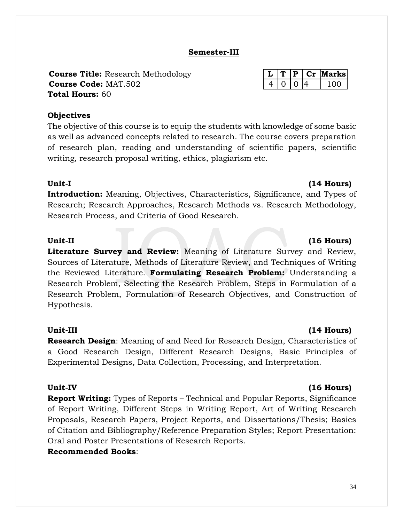# **Semester-III**

**Course Title:** Research Methodology **L T P Cr Marks Course Code:** MAT.502 4 10 10 4 100 **Total Hours:** 60

### **Objectives**

The objective of this course is to equip the students with knowledge of some basic as well as advanced concepts related to research. The course covers preparation of research plan, reading and understanding of scientific papers, scientific writing, research proposal writing, ethics, plagiarism etc.

# **Unit-I (14 Hours)**

**Introduction:** Meaning, Objectives, Characteristics, Significance, and Types of Research; Research Approaches, Research Methods vs. Research Methodology, Research Process, and Criteria of Good Research.

### **Unit-II (16 Hours)**

**Literature Survey and Review:** Meaning of Literature Survey and Review, Sources of Literature, Methods of Literature Review, and Techniques of Writing the Reviewed Literature. **Formulating Research Problem:** Understanding a Research Problem, Selecting the Research Problem, Steps in Formulation of a Research Problem, Formulation of Research Objectives, and Construction of Hypothesis.

# **Unit-III (14 Hours)**

**Research Design**: Meaning of and Need for Research Design, Characteristics of a Good Research Design, Different Research Designs, Basic Principles of Experimental Designs, Data Collection, Processing, and Interpretation.

**Report Writing:** Types of Reports – Technical and Popular Reports, Significance of Report Writing, Different Steps in Writing Report, Art of Writing Research Proposals, Research Papers, Project Reports, and Dissertations/Thesis; Basics of Citation and Bibliography/Reference Preparation Styles; Report Presentation: Oral and Poster Presentations of Research Reports.

# **Recommended Books**:

# Unit-IV (16 **Hours)**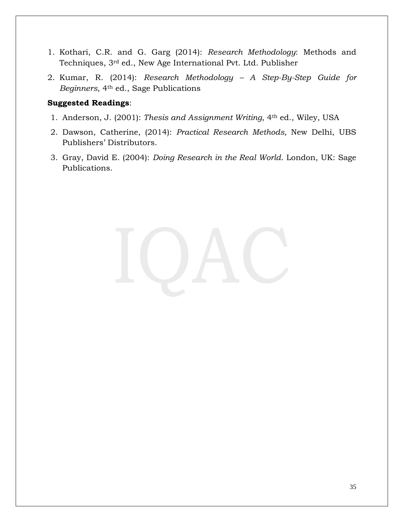- 1. Kothari, C.R. and G. Garg (2014): *Research Methodology*: Methods and Techniques, 3rd ed., New Age International Pvt. Ltd. Publisher
- 2. Kumar, R. (2014): *Research Methodology – A Step-By-Step Guide for Beginners*, 4th ed., Sage Publications

- 1. Anderson, J. (2001): *Thesis and Assignment Writing*, 4th ed., Wiley, USA
- 2. Dawson, Catherine, (2014): *Practical Research Methods,* New Delhi, UBS Publishers' Distributors.
- 3. Gray, David E. (2004): *Doing Research in the Real World*. London, UK: Sage Publications.

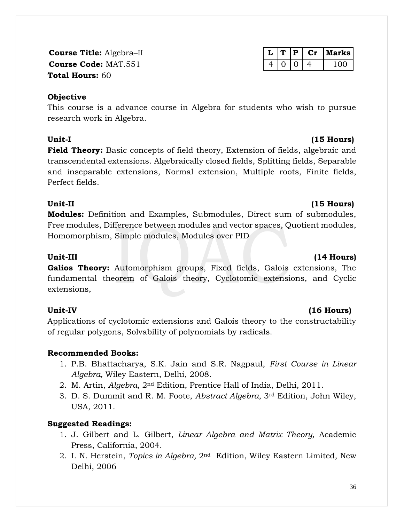36

**Course Code:** MAT.551 4 0 0 4 100 **Total Hours:** 60

# **Objective**

This course is a advance course in Algebra for students who wish to pursue research work in Algebra.

**Field Theory:** Basic concepts of field theory, Extension of fields, algebraic and transcendental extensions. Algebraically closed fields, Splitting fields, Separable and inseparable extensions, Normal extension, Multiple roots, Finite fields, Perfect fields.

# **Unit-II (15 Hours)**

**Modules:** Definition and Examples, Submodules, Direct sum of submodules, Free modules, Difference between modules and vector spaces, Quotient modules, Homomorphism, Simple modules, Modules over PID

**Galios Theory:** Automorphism groups, Fixed fields, Galois extensions, The fundamental theorem of Galois theory, Cyclotomic extensions, and Cyclic extensions,

# **Unit-IV (16 Hours)**

Applications of cyclotomic extensions and Galois theory to the constructability of regular polygons, Solvability of polynomials by radicals.

# **Recommended Books:**

- 1. P.B. Bhattacharya, S.K. Jain and S.R. Nagpaul, *First Course in Linear Algebra,* Wiley Eastern, Delhi, 2008.
- 2. M. Artin, *Algebra,* 2nd Edition, Prentice Hall of India, Delhi, 2011.
- 3. D. S. Dummit and R. M. Foote, *Abstract Algebra*, 3rd Edition, John Wiley, USA, 2011.

# **Suggested Readings:**

- 1. J. Gilbert and L. Gilbert, *Linear Algebra and Matrix Theory,* Academic Press, California, 2004.
- 2. I. N. Herstein, *Topics in Algebra,* 2nd Edition, Wiley Eastern Limited, New Delhi, 2006

# **Course Title:** Algebra–II **L T P Cr Marks**

# **Unit-I (15 Hours)**

# Unit-III (14 Hours)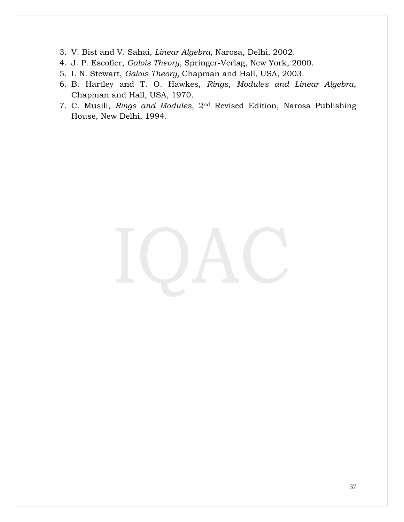- 3. V. Bist and V. Sahai, *Linear Algebra,* Narosa, Delhi, 2002.
- 4. J. P. Escofier, *Galois Theory*, Springer-Verlag, New York, 2000.
- 5. I. N. Stewart, *Galois Theory,* Chapman and Hall, USA, 2003.
- 6. B. Hartley and T. O. Hawkes, *Rings*, *Modules and Linear Algebra*, Chapman and Hall, USA, 1970.
- 7. C. Musili, *Rings and Modules,* 2nd Revised Edition, Narosa Publishing House, New Delhi, 1994.

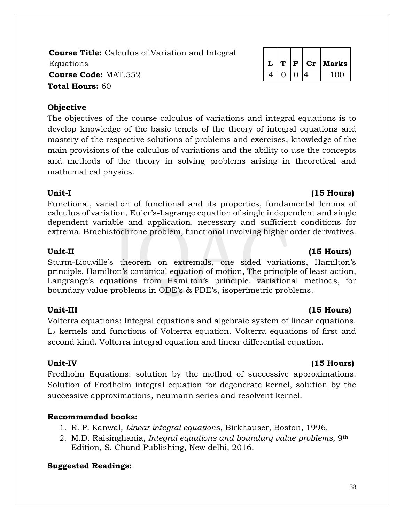**Course Title:** Calculus of Variation and Integral Equations **L T P Cr Marks Course Code:** MAT.552  $\vert 4 \vert 0 \vert 0 \vert 4 \vert 100$ **Total Hours:** 60

### **Objective**

The objectives of the course calculus of variations and integral equations is to develop knowledge of the basic tenets of the theory of integral equations and mastery of the respective solutions of problems and exercises, knowledge of the main provisions of the calculus of variations and the ability to use the concepts and methods of the theory in solving problems arising in theoretical and mathematical physics.

Functional, variation of functional and its properties, fundamental lemma of calculus of variation, Euler's-Lagrange equation of single independent and single dependent variable and application. necessary and sufficient conditions for extrema. Brachistochrone problem, functional involving higher order derivatives.

### Unit-II (15 Hours)

Sturm-Liouville's theorem on extremals, one sided variations, Hamilton's principle, Hamilton's canonical equation of motion, The principle of least action, Langrange's equations from Hamilton's principle. variational methods, for boundary value problems in ODE's & PDE's, isoperimetric problems.

Volterra equations: Integral equations and algebraic system of linear equations. L<sup>2</sup> kernels and functions of Volterra equation. Volterra equations of first and second kind. Volterra integral equation and linear differential equation.

Fredholm Equations: solution by the method of successive approximations. Solution of Fredholm integral equation for degenerate kernel, solution by the successive approximations, neumann series and resolvent kernel.

### **Recommended books:**

- 1. R. P. Kanwal, *Linear integral equations*, Birkhauser, Boston, 1996.
- 2. M.D. [Raisinghania,](https://www.schandpublishing.com/author-details/-dr-md-raisinghania/548) *Integral equations and boundary value problems,* 9th Edition, S. Chand Publishing, New delhi, 2016.

**Suggested Readings:**

## **Unit-I (15 Hours)**

## **Unit-III (15 Hours)**

### **Unit-IV (15 Hours)**

### 38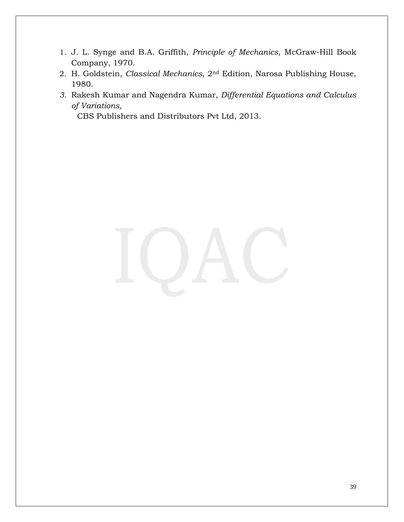- 1. J. L. Synge and B.A. Griffith, *Principle of Mechanics,* McGraw-Hill Book Company, 1970.
- 2. H. Goldstein, *Classical Mechanics,* 2nd Edition, Narosa Publishing House, 1980.
- *3.* Rakesh Kumar and Nagendra Kumar, *Differential Equations and Calculus of Variations,*

CBS Publishers and Distributors Pvt Ltd, 2013.

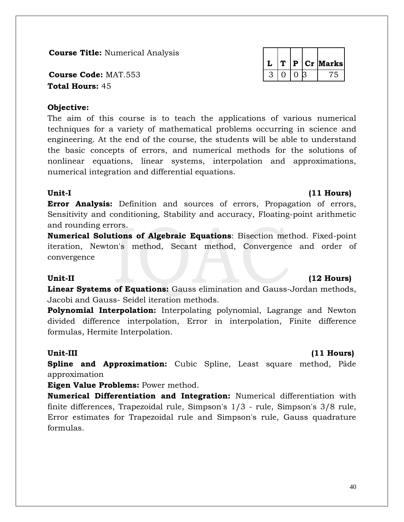**Course Title:** Numerical Analysis

**Course Code: MAT.553 Total Hours:** 45

## **Objective:**

The aim of this course is to teach the applications of various numerical techniques for a variety of mathematical problems occurring in science and engineering. At the end of the course, the students will be able to understand the basic concepts of errors, and numerical methods for the solutions of nonlinear equations, linear systems, interpolation and approximations, numerical integration and differential equations.

**Error Analysis:** Definition and sources of errors, Propagation of errors, Sensitivity and conditioning, Stability and accuracy, Floating-point arithmetic and rounding errors.

**Numerical Solutions of Algebraic Equations**: Bisection method. Fixed-point iteration, Newton's method, Secant method, Convergence and order of convergence

### **Unit-II (12 Hours)**

**Linear Systems of Equations:** Gauss elimination and Gauss-Jordan methods, Jacobi and Gauss- Seidel iteration methods.

**Polynomial Interpolation:** Interpolating polynomial, Lagrange and Newton divided difference interpolation, Error in interpolation, Finite difference formulas, Hermite Interpolation.

## **Unit-III (11 Hours)**

**Spline and Approximation:** Cubic Spline, Least square method, Pảde approximation

**Eigen Value Problems:** Power method.

**Numerical Differentiation and Integration:** Numerical differentiation with finite differences, Trapezoidal rule, Simpson's 1/3 - rule, Simpson's 3/8 rule, Error estimates for Trapezoidal rule and Simpson's rule, Gauss quadrature formulas.

### 40

|  | D | Cr | <b>Aarks</b> |
|--|---|----|--------------|
|  |   |    |              |

## **Unit-I (11 Hours)**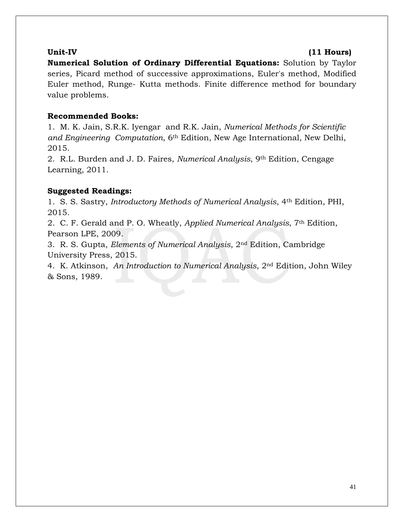### **Unit-IV (11 Hours)**

**Numerical Solution of Ordinary Differential Equations:** Solution by Taylor series, Picard method of successive approximations, Euler's method, Modified Euler method, Runge- Kutta methods. Finite difference method for boundary value problems.

## **Recommended Books:**

1. M. K. Jain, S.R.K. Iyengar and R.K. Jain, *Numerical Methods for Scientific and Engineering Computation*, 6th Edition, New Age International, New Delhi, 2015.

2. R.L. Burden and J. D. Faires, *Numerical Analysis*, 9th Edition, Cengage Learning, 2011.

## **Suggested Readings:**

1. S. S. Sastry, *Introductory Methods of Numerical Analysis*, 4th Edition, PHI, 2015.

2. C. F. Gerald and P. O. Wheatly, *Applied Numerical Analysis*, 7th Edition, Pearson LPE, 2009.

3. R. S. Gupta, *Elements of Numerical Analysis*, 2nd Edition, Cambridge University Press, 2015.

4. K. Atkinson, *An Introduction to Numerical Analysis*, 2nd Edition, John Wiley & Sons, 1989.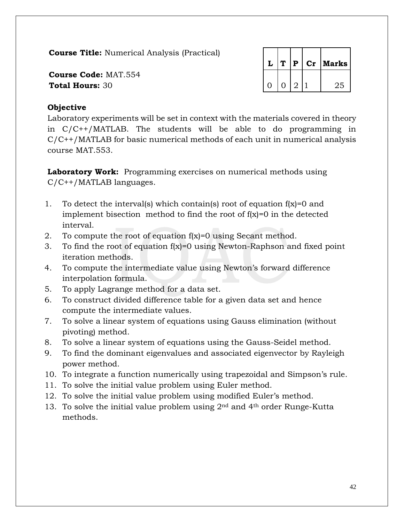**Course Title:** Numerical Analysis (Practical)

**Course Code:** MAT.554 **Total Hours: 30** 

|   | T | $\mathbf{P}$   | $\mathbf{C}\mathbf{r}$ | Marks |
|---|---|----------------|------------------------|-------|
| ∩ | O | $\overline{2}$ |                        | 25    |

## **Objective**

Laboratory experiments will be set in context with the materials covered in theory in C/C++/MATLAB. The students will be able to do programming in C/C++/MATLAB for basic numerical methods of each unit in numerical analysis course MAT.553.

**Laboratory Work:** Programming exercises on numerical methods using C/C++/MATLAB languages.

- 1. To detect the interval(s) which contain(s) root of equation f(x)=0 and implement bisection method to find the root of  $f(x)=0$  in the detected interval.
- 2. To compute the root of equation f(x)=0 using Secant method.
- 3. To find the root of equation  $f(x)=0$  using Newton-Raphson and fixed point iteration methods.
- 4. To compute the intermediate value using Newton's forward difference interpolation formula.
- 5. To apply Lagrange method for a data set.
- 6. To construct divided difference table for a given data set and hence compute the intermediate values.
- 7. To solve a linear system of equations using Gauss elimination (without pivoting) method.
- 8. To solve a linear system of equations using the Gauss-Seidel method.
- 9. To find the dominant eigenvalues and associated eigenvector by Rayleigh power method.
- 10. To integrate a function numerically using trapezoidal and Simpson's rule.
- 11. To solve the initial value problem using Euler method.
- 12. To solve the initial value problem using modified Euler's method.
- 13. To solve the initial value problem using 2nd and 4th order Runge-Kutta methods.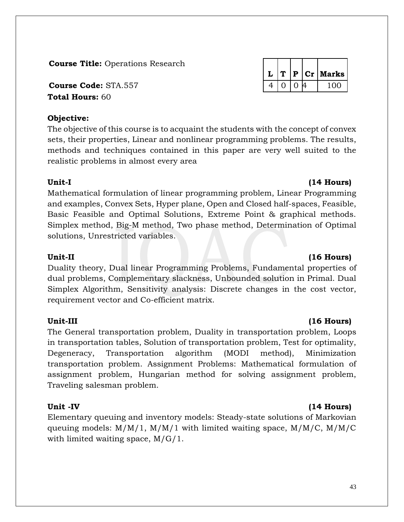**Course Title:** Operations Research

**Course Code:** STA.557  $\begin{array}{|c|c|c|c|c|c|} \hline \end{array}$  4 0 0 4 100 **Total Hours:** 60

## **Objective:**

The objective of this course is to acquaint the students with the concept of convex sets, their properties, Linear and nonlinear programming problems. The results, methods and techniques contained in this paper are very well suited to the realistic problems in almost every area

## **Unit-I (14 Hours)**

Mathematical formulation of linear programming problem, Linear Programming and examples, Convex Sets, Hyper plane, Open and Closed half-spaces, Feasible, Basic Feasible and Optimal Solutions, Extreme Point & graphical methods. Simplex method, Big-M method, Two phase method, Determination of Optimal solutions, Unrestricted variables.

## Unit-II (16 **Hours)** (16 **Hours)**

Duality theory, Dual linear Programming Problems, Fundamental properties of dual problems, Complementary slackness, Unbounded solution in Primal. Dual Simplex Algorithm, Sensitivity analysis: Discrete changes in the cost vector, requirement vector and Co-efficient matrix.

The General transportation problem, Duality in transportation problem, Loops in transportation tables, Solution of transportation problem, Test for optimality, Degeneracy, Transportation algorithm (MODI method), Minimization transportation problem. Assignment Problems: Mathematical formulation of assignment problem, Hungarian method for solving assignment problem, Traveling salesman problem.

Elementary queuing and inventory models: Steady-state solutions of Markovian queuing models:  $M/M/1$ ,  $M/M/1$  with limited waiting space,  $M/M/C$ ,  $M/M/C$ with limited waiting space, M/G/1.

|  |                |   | $L   T   P   Cr  $ Marks |
|--|----------------|---|--------------------------|
|  | 0 <sup>1</sup> | Δ |                          |

## **Unit-III (16 Hours)**

## **Unit -IV (14 Hours)**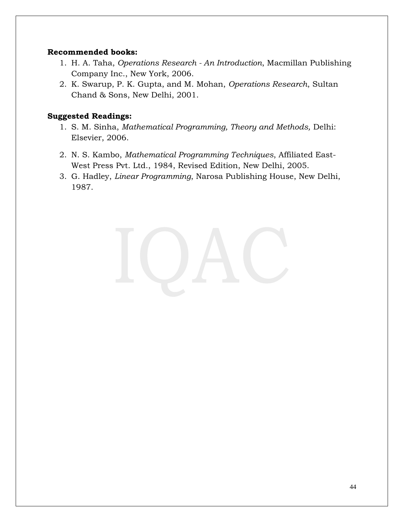### **Recommended books:**

- 1. H. A. Taha, *Operations Research - An Introduction*, Macmillan Publishing Company Inc., New York, 2006.
- 2. K. Swarup, P. K. Gupta, and M. Mohan, *Operations Research*, Sultan Chand & Sons, New Delhi, 2001.

- 1. S. M. Sinha, *Mathematical Programming, Theory and Methods,* Delhi: Elsevier, 2006.
- 2. N. S. Kambo, *Mathematical Programming Techniques*, Affiliated East-West Press Pvt. Ltd., 1984, Revised Edition, New Delhi, 2005.
- 3. G. Hadley, *Linear Programming*, Narosa Publishing House, New Delhi, 1987.

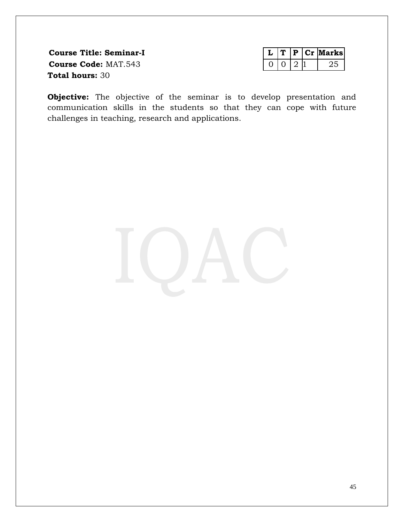**Course Title: Seminar-I Course Code: MAT.543 Total hours:** 30

|  |  | larksl |
|--|--|--------|
|  |  |        |

**Objective:** The objective of the seminar is to develop presentation and communication skills in the students so that they can cope with future challenges in teaching, research and applications.

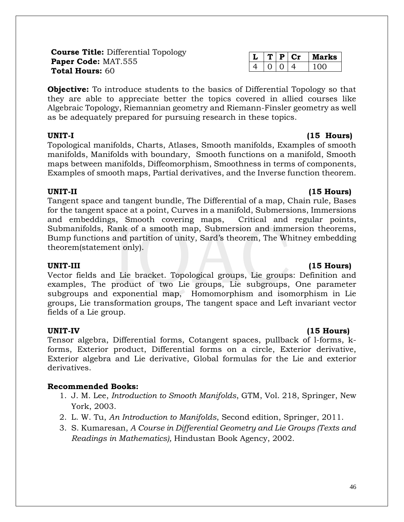**Course Title:** Differential Topology **Paper Code:** MAT.555 **Total Hours:** 60

**Objective:** To introduce students to the basics of Differential Topology so that they are able to appreciate better the topics covered in allied courses like Algebraic Topology, Riemannian geometry and Riemann-Finsler geometry as well as be adequately prepared for pursuing research in these topics.

Topological manifolds, Charts, Atlases, Smooth manifolds, Examples of smooth manifolds, Manifolds with boundary, Smooth functions on a manifold, Smooth maps between manifolds, Diffeomorphism, Smoothness in terms of components, Examples of smooth maps, Partial derivatives, and the Inverse function theorem.

### **UNIT-II (15 Hours)**

Tangent space and tangent bundle, The Differential of a map, Chain rule, Bases for the tangent space at a point, Curves in a manifold, Submersions, Immersions and embeddings, Smooth covering maps, Critical and regular points, Submanifolds, Rank of a smooth map, Submersion and immersion theorems, Bump functions and partition of unity, Sard's theorem, The Whitney embedding theorem(statement only).

Vector fields and Lie bracket. Topological groups, Lie groups: Definition and examples, The product of two Lie groups, Lie subgroups, One parameter subgroups and exponential map, Homomorphism and isomorphism in Lie groups, Lie transformation groups, The tangent space and Left invariant vector fields of a Lie group.

Tensor algebra, Differential forms, Cotangent spaces, pullback of l-forms, kforms, Exterior product, Differential forms on a circle, Exterior derivative, Exterior algebra and Lie derivative, Global formulas for the Lie and exterior derivatives.

## **Recommended Books:**

- 1. J. M. Lee, *Introduction to Smooth Manifolds*, GTM, Vol. 218, Springer, New York, 2003.
- 2. L. W. Tu, *An Introduction to Manifolds*, Second edition, Springer, 2011.
- 3. S. Kumaresan, *A Course in Differential Geometry and Lie Groups (Texts and Readings in Mathematics),* Hindustan Book Agency, 2002.

|  |  | rks<br>, 24 1 |
|--|--|---------------|
|  |  |               |

## **UNIT-III (15 Hours)**

## **UNIT-IV (15 Hours)**

## **UNIT-I (15 Hours)**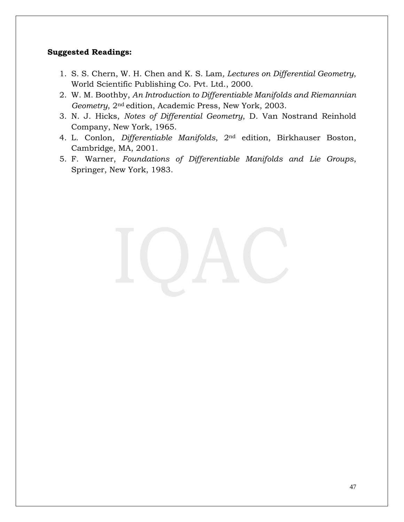- 1. S. S. Chern, W. H. Chen and K. S. Lam*, Lectures on Differential Geometry*, World Scientific Publishing Co. Pvt. Ltd., 2000.
- 2. W. M. Boothby, *An Introduction to Differentiable Manifolds and Riemannian Geometry*, 2nd edition, Academic Press, New York, 2003.
- 3. N. J. Hicks, *Notes of Differential Geometry*, D. Van Nostrand Reinhold Company, New York, 1965.
- 4. L. Conlon, *Differentiable Manifolds*, 2nd edition, Birkhauser Boston, Cambridge, MA, 2001.
- 5. F. Warner, *Foundations of Differentiable Manifolds and Lie Groups*, Springer, New York, 1983.

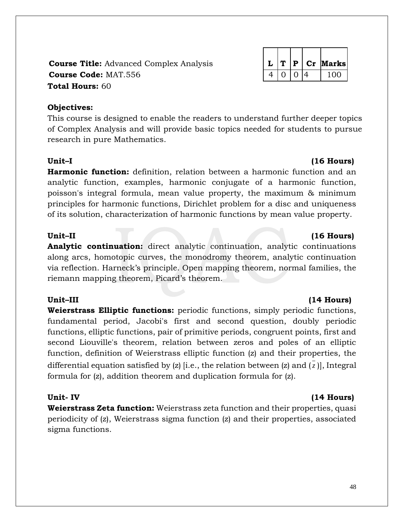## **Course Title:** Advanced Complex Analysis **L T P Cr Marks Course Code:** MAT.556 4 0 0 4 100 4 100 **Total Hours:** 60

## **Objectives:**

This course is designed to enable the readers to understand further deeper topics of Complex Analysis and will provide basic topics needed for students to pursue research in pure Mathematics.

## **Unit–I (16 Hours)**

**Harmonic function:** definition, relation between a harmonic function and an analytic function, examples, harmonic conjugate of a harmonic function, poisson's integral formula, mean value property, the maximum & minimum principles for harmonic functions, Dirichlet problem for a disc and uniqueness of its solution, characterization of harmonic functions by mean value property.

## Unit<del>–</del>**II** (16 **Hours)**

**Analytic continuation:** direct analytic continuation, analytic continuations along arcs, homotopic curves, the monodromy theorem, analytic continuation via reflection. Harneck's principle. Open mapping theorem, normal families, the riemann mapping theorem, Picard's theorem.

## **Unit–III (14 Hours)**

**Weierstrass Elliptic functions:** periodic functions, simply periodic functions, fundamental period, Jacobi's first and second question, doubly periodic functions, elliptic functions, pair of primitive periods, congruent points, first and second Liouville's theorem, relation between zeros and poles of an elliptic function, definition of Weierstrass elliptic function (z) and their properties, the differential equation satisfied by (z) [i.e., the relation between (z) and ( *z* )], Integral formula for (z), addition theorem and duplication formula for (z).

## **Unit- IV (14 Hours)**

**Weierstrass Zeta function:** Weierstrass zeta function and their properties, quasi periodicity of (z), Weierstrass sigma function (z) and their properties, associated sigma functions.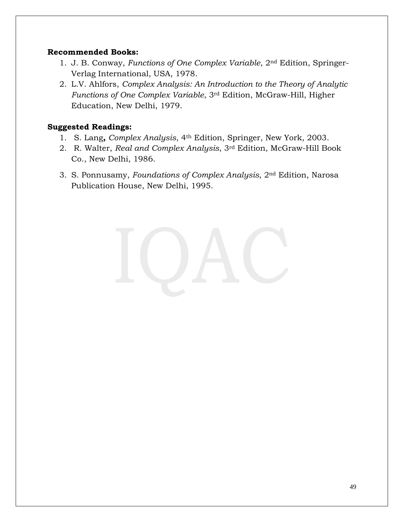## **Recommended Books:**

- 1. J. B. Conway, *Functions of One Complex Variable*, 2nd Edition, Springer-Verlag International, USA, 1978.
- 2. L.V. Ahlfors, *Complex Analysis: An Introduction to the Theory of Analytic Functions of One Complex Variable*, 3rd Edition, McGraw-Hill, Higher Education, New Delhi, 1979.

- 1. S. Lang**,** *Complex Analysis*, 4th Edition, Springer, New York, 2003.
- 2. R. Walter, *Real and Complex Analysis*, 3rd Edition, McGraw-Hill Book Co., New Delhi, 1986.
- 3. S. Ponnusamy, *Foundations of Complex Analysis*, 2nd Edition, Narosa Publication House, New Delhi, 1995.

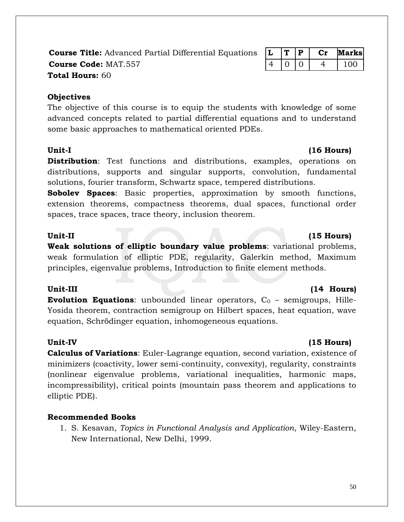**Course Title:** Advanced Partial Differential Equations **L T P Cr Marks Course Code:** MAT.557 **14 10 10 4 100 Total Hours:** 60

## **Objectives**

The objective of this course is to equip the students with knowledge of some advanced concepts related to partial differential equations and to understand some basic approaches to mathematical oriented PDEs.

**Distribution**: Test functions and distributions, examples, operations on distributions, supports and singular supports, convolution, fundamental solutions, fourier transform, Schwartz space, tempered distributions.

**Sobolev Spaces**: Basic properties, approximation by smooth functions, extension theorems, compactness theorems, dual spaces, functional order spaces, trace spaces, trace theory, inclusion theorem.

**Weak solutions of elliptic boundary value problems**: variational problems, weak formulation of elliptic PDE, regularity, Galerkin method, Maximum principles, eigenvalue problems, Introduction to finite element methods.

### **Unit-III (14 Hours)**

**Evolution Equations:** unbounded linear operators,  $C_0$  – semigroups, Hille-Yosida theorem, contraction semigroup on Hilbert spaces, heat equation, wave equation, Schrödinger equation, inhomogeneous equations.

### Unit-IV (15 **Hours)**

**Calculus of Variations**: Euler-Lagrange equation, second variation, existence of minimizers (coactivity, lower semi-continuity, convexity), regularity, constraints (nonlinear eigenvalue problems, variational inequalities, harmonic maps, incompressibility), critical points (mountain pass theorem and applications to elliptic PDE).

## **Recommended Books**

1. S. Kesavan, *Topics in Functional Analysis and Application*, Wiley-Eastern, New International, New Delhi, 1999.

## Unit-II (15 Hours)

## Unit-I (16 Hours)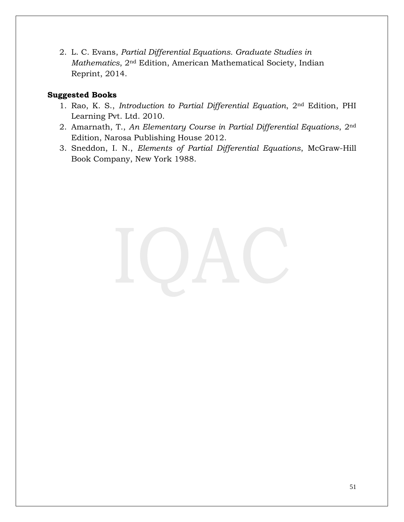2. L. C. Evans, *Partial Differential Equations. Graduate Studies in Mathematics*, 2nd Edition, American Mathematical Society, Indian Reprint, 2014.

## **Suggested Books**

- 1. Rao, K. S., *Introduction to Partial Differential Equation*, 2nd Edition, PHI Learning Pvt. Ltd. 2010.
- 2. Amarnath, T., *An Elementary Course in Partial Differential Equations*, 2nd Edition, Narosa Publishing House 2012.
- 3. Sneddon, I. N., *Elements of Partial Differential Equations*, McGraw-Hill Book Company, New York 1988.

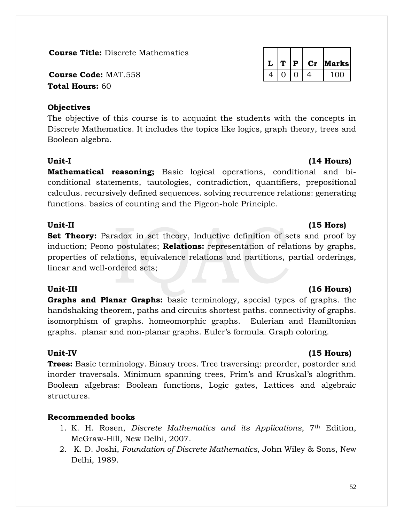**Course Title:** Discrete Mathematics

**Course Code: MAT.558 Total Hours:** 60

## **Objectives**

The objective of this course is to acquaint the students with the concepts in Discrete Mathematics. It includes the topics like logics, graph theory, trees and Boolean algebra.

## **Unit-I (14 Hours)**

**Mathematical reasoning;** Basic logical operations, conditional and biconditional statements, tautologies, contradiction, quantifiers, prepositional calculus. recursively defined sequences. solving recurrence relations: generating functions. basics of counting and the Pigeon-hole Principle.

## Unit-II (15 **Hors)**

**Set Theory:** Paradox in set theory, Inductive definition of sets and proof by induction; Peono postulates; **Relations:** representation of relations by graphs, properties of relations, equivalence relations and partitions, partial orderings, linear and well-ordered sets;

**Graphs and Planar Graphs:** basic terminology, special types of graphs. the handshaking theorem, paths and circuits shortest paths. connectivity of graphs. isomorphism of graphs. homeomorphic graphs. Eulerian and Hamiltonian graphs. planar and non-planar graphs. Euler's formula. Graph coloring.

**Trees:** Basic terminology. Binary trees. Tree traversing: preorder, postorder and inorder traversals. Minimum spanning trees, Prim's and Kruskal's alogrithm. Boolean aIgebras: Boolean functions, Logic gates, Lattices and algebraic structures.

## **Recommended books**

- 1. K. H. Rosen, *Discrete Mathematics and its Applications*, 7th Edition, McGraw-Hill, New Delhi, 2007.
- 2. K. D. Joshi, *Foundation of Discrete Mathematics,* John Wiley & Sons, New Delhi, 1989.

|  | P | Cr | Marksl |
|--|---|----|--------|
|  |   |    | 100    |

## Unit-III (16 Hours)

## Unit-IV (15 **Hours)**

### 52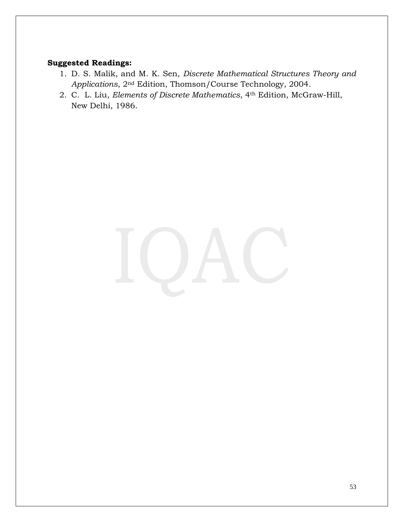- 1. D. S. Malik, and M. K. Sen, *Discrete Mathematical Structures Theory and Applications*, 2nd Edition, Thomson/Course Technology, 2004.
- 2. C. L. Liu, *Elements of Discrete Mathematics*, 4th Edition, McGraw-Hill, New Delhi, 1986.

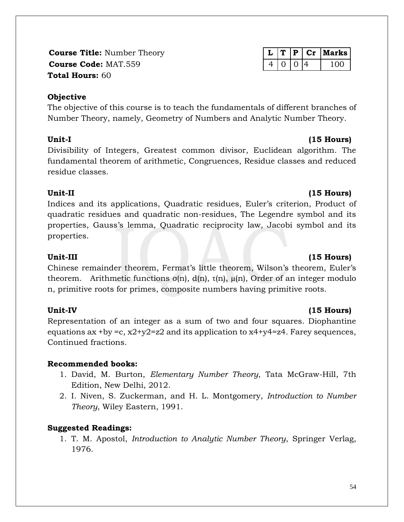**Course Title: Number Theory Course Code: MAT.559 Total Hours:** 60

## **Objective**

The objective of this course is to teach the fundamentals of different branches of Number Theory, namely, Geometry of Numbers and Analytic Number Theory.

Divisibility of Integers, Greatest common divisor, Euclidean algorithm. The fundamental theorem of arithmetic, Congruences, Residue classes and reduced residue classes.

## Unit-II (15 **Hours)**

Indices and its applications, Quadratic residues, Euler's criterion, Product of quadratic residues and quadratic non-residues, The Legendre symbol and its properties, Gauss's lemma, Quadratic reciprocity law, Jacobi symbol and its properties.

Chinese remainder theorem, Fermat's little theorem, Wilson's theorem, Euler's theorem. Arithmetic functions  $σ(n)$ ,  $d(n)$ ,  $τ(n)$ ,  $μ(n)$ , Order of an integer modulo n, primitive roots for primes, composite numbers having primitive roots.

## **Unit-IV (15 Hours)**

Representation of an integer as a sum of two and four squares. Diophantine equations ax +by =c,  $x2+y2=z2$  and its application to  $x4+y4=z4$ . Farey sequences, Continued fractions.

## **Recommended books:**

- 1. David, M. Burton, *Elementary Number Theory*, Tata McGraw-Hill, 7th Edition, New Delhi, 2012.
- 2. I. Niven, S. Zuckerman, and H. L. Montgomery, *Introduction to Number Theory*, Wiley Eastern, 1991.

## **Suggested Readings:**

1. T. M. Apostol, *Introduction to Analytic Number Theory*, Springer Verlag, 1976.

## Unit-III (15 Hours)

## **Unit-I (15 Hours)**

|  | P. | $C_{\mathcal{T}}$ | Marks |
|--|----|-------------------|-------|
|  |    |                   | חחו   |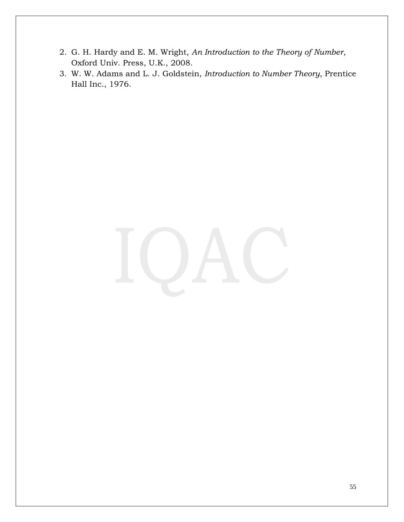- 2. G. H. Hardy and E. M. Wright, *An Introduction to the Theory of Number*, Oxford Univ. Press, U.K., 2008.
- 3. W. W. Adams and L. J. Goldstein, *Introduction to Number Theory*, Prentice Hall Inc., 1976.

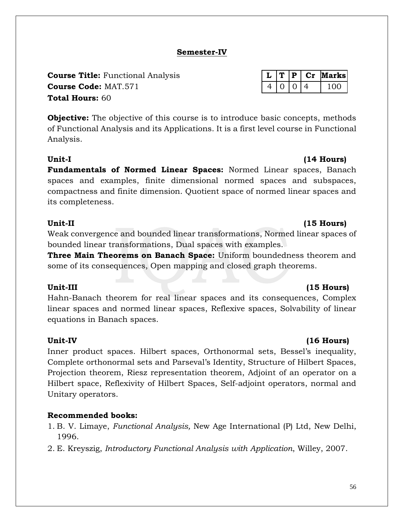56

## **Semester-IV**

**Total Hours:** 60 **Course Title:** Functional Analysis **L T P Cr Marks Course Code:** MAT.571 4 0 0 4 100

**Objective:** The objective of this course is to introduce basic concepts, methods of Functional Analysis and its Applications. It is a first level course in Functional Analysis.

**Unit-I (14 Hours) Fundamentals of Normed Linear Spaces:** Normed Linear spaces, Banach spaces and examples, finite dimensional normed spaces and subspaces, compactness and finite dimension. Quotient space of normed linear spaces and its completeness.

Weak convergence and bounded linear transformations, Normed linear spaces of bounded linear transformations, Dual spaces with examples.

**Three Main Theorems on Banach Space:** Uniform boundedness theorem and some of its consequences, Open mapping and closed graph theorems.

## **Unit-III (15 Hours)**

Hahn-Banach theorem for real linear spaces and its consequences, Complex linear spaces and normed linear spaces, Reflexive spaces, Solvability of linear equations in Banach spaces.

## Unit-IV (16 **Hours)**

Inner product spaces. Hilbert spaces, Orthonormal sets, Bessel's inequality, Complete orthonormal sets and Parseval's Identity, Structure of Hilbert Spaces, Projection theorem, Riesz representation theorem, Adjoint of an operator on a Hilbert space, Reflexivity of Hilbert Spaces, Self-adjoint operators, normal and Unitary operators.

## **Recommended books:**

- 1. B. V. Limaye, *Functional Analysis,* New Age International (P) Ltd, New Delhi, 1996.
- 2. E. Kreyszig, *Introductory Functional Analysis with Application*, Willey, 2007.

## Unit-II (15 **Hours)**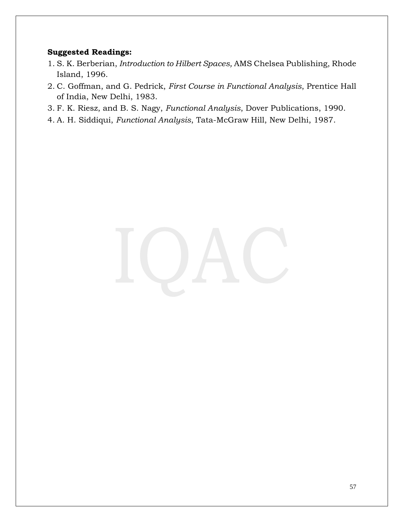- 1. S. K. Berberian, *Introduction to Hilbert Spaces,* AMS Chelsea Publishing, Rhode Island, 1996.
- 2. C. Goffman, and G. Pedrick, *First Course in Functional Analysis*, Prentice Hall of India, New Delhi, 1983.
- 3. F. K. Riesz, and B. S. Nagy, *Functional Analysis*, Dover Publications, 1990.
- 4. A. H. Siddiqui, *Functional Analysis*, Tata-McGraw Hill, New Delhi, 1987.

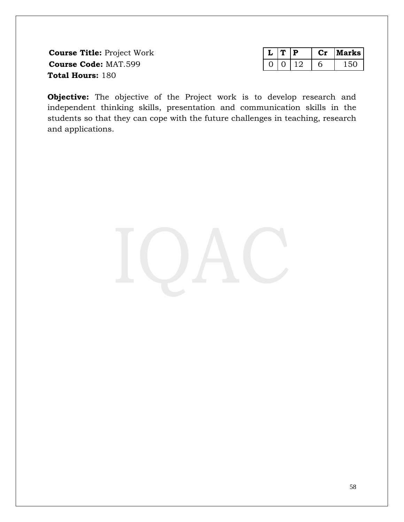**Course Title: Project Work Course Code: MAT.599 Total Hours:** 180

|  |  | arks i |
|--|--|--------|
|  |  |        |

**Objective:** The objective of the Project work is to develop research and independent thinking skills, presentation and communication skills in the students so that they can cope with the future challenges in teaching, research and applications.

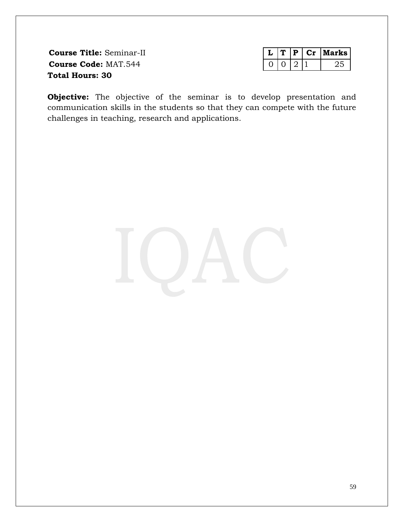**Course Title:** Seminar-II **Course Code: MAT.544 Total Hours: 30**

|  |  | larks I |
|--|--|---------|
|  |  |         |

**Objective:** The objective of the seminar is to develop presentation and communication skills in the students so that they can compete with the future challenges in teaching, research and applications.

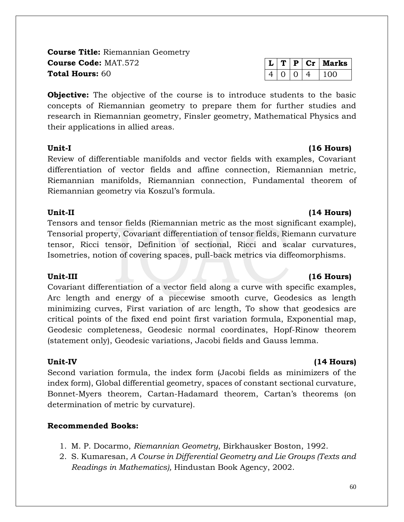**Course Title:** Riemannian Geometry **Course Code:** MAT.572 **Total Hours:** 60

**Objective:** The objective of the course is to introduce students to the basic concepts of Riemannian geometry to prepare them for further studies and research in Riemannian geometry, Finsler geometry, Mathematical Physics and their applications in allied areas.

Review of differentiable manifolds and vector fields with examples, Covariant differentiation of vector fields and affine connection, Riemannian metric, Riemannian manifolds, Riemannian connection, Fundamental theorem of Riemannian geometry via Koszul's formula.

## **Unit-II (14 Hours)**

Tensors and tensor fields (Riemannian metric as the most significant example), Tensorial property, Covariant differentiation of tensor fields, Riemann curvature tensor, Ricci tensor, Definition of sectional, Ricci and scalar curvatures, Isometries, notion of covering spaces, pull-back metrics via diffeomorphisms.

Covariant differentiation of a vector field along a curve with specific examples, Arc length and energy of a piecewise smooth curve, Geodesics as length minimizing curves, First variation of arc length, To show that geodesics are critical points of the fixed end point first variation formula, Exponential map, Geodesic completeness, Geodesic normal coordinates, Hopf-Rinow theorem (statement only), Geodesic variations, Jacobi fields and Gauss lemma.

Second variation formula, the index form (Jacobi fields as minimizers of the index form), Global differential geometry, spaces of constant sectional curvature, Bonnet-Myers theorem, Cartan-Hadamard theorem, Cartan's theorems (on determination of metric by curvature).

## **Recommended Books:**

- 1. M. P. Docarmo, *Riemannian Geometry*, Birkhausker Boston, 1992.
- 2. S. Kumaresan, *A Course in Differential Geometry and Lie Groups (Texts and Readings in Mathematics),* Hindustan Book Agency, 2002.

| Unit-I | $(16$ Hours) |
|--------|--------------|
|        |              |

## **Unit-III (16 Hours)**

## **Unit-IV (14 Hours)**

# $L | T | P | Cr |$  Marks  $4 | 0 | 0 | 4 | 100$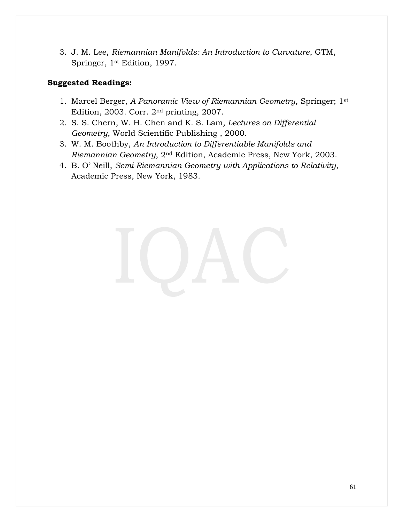3. J. M. Lee, *Riemannian Manifolds: An Introduction to Curvature*, GTM, Springer, 1st Edition, 1997.

- 1. Marcel Berger, *A Panoramic View of Riemannian Geometry*, Springer; 1st Edition, 2003. Corr. 2nd printing, 2007.
- 2. S. S. Chern, W. H. Chen and K. S. Lam*, Lectures on Differential Geometry*, World Scientific Publishing , 2000.
- 3. W. M. Boothby, *An Introduction to Differentiable Manifolds and Riemannian Geometry*, 2nd Edition, Academic Press, New York, 2003.
- 4. B. O' Neill, *Semi-Riemannian Geometry with Applications to Relativity*, Academic Press, New York, 1983.

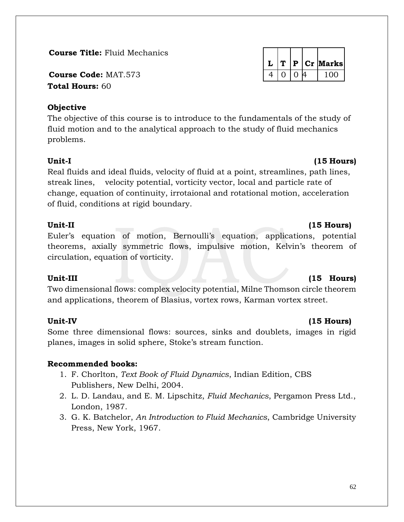**Course Title:** Fluid Mechanics

**Course Code: MAT.573 Total Hours:** 60

## **Objective**

The objective of this course is to introduce to the fundamentals of the study of fluid motion and to the analytical approach to the study of fluid mechanics problems.

## Unit-I (15 Hours)

Real fluids and ideal fluids, velocity of fluid at a point, streamlines, path lines, streak lines, velocity potential, vorticity vector, local and particle rate of change, equation of continuity, irrotaional and rotational motion, acceleration of fluid, conditions at rigid boundary.

## **Unit-II (15 Hours)**

Euler's equation of motion, Bernoulli's equation, applications, potential theorems, axially symmetric flows, impulsive motion, Kelvin's theorem of circulation, equation of vorticity.

Two dimensional flows: complex velocity potential, Milne Thomson circle theorem and applications, theorem of Blasius, vortex rows, Karman vortex street.

## **Unit-IV (15 Hours)**

Some three dimensional flows: sources, sinks and doublets, images in rigid planes, images in solid sphere, Stoke's stream function.

## **Recommended books:**

- 1. F. Chorlton, *Text Book of Fluid Dynamics*, Indian Edition, CBS Publishers, New Delhi, 2004.
- 2. L. D. Landau, and E. M. Lipschitz, *Fluid Mechanics*, Pergamon Press Ltd., London, 1987.
- 3. G. K. Batchelor, *An Introduction to Fluid Mechanics*, Cambridge University Press, New York, 1967.

|  |   |   | $P$ Cr Marks |
|--|---|---|--------------|
|  | ∩ | 4 | 100          |

## Unit-III (15 Hours)

### 62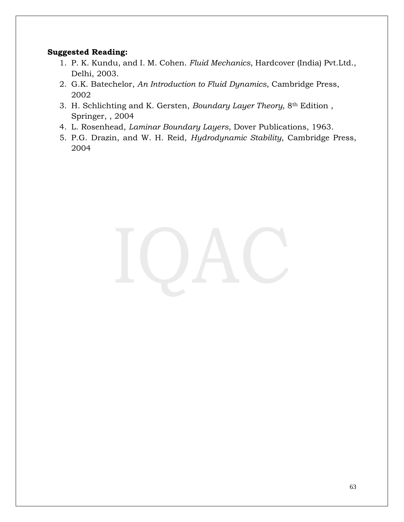- 1. P. K. Kundu, and I. M. Cohen. *Fluid Mechanics*, Hardcover (India) Pvt.Ltd., Delhi, 2003.
- 2. G.K. Batechelor, *An Introduction to Fluid Dynamics*, Cambridge Press, 2002
- 3. H. Schlichting and K. Gersten, *Boundary Layer Theory,* 8th Edition , Springer, , 2004
- 4. L. Rosenhead, *Laminar Boundary Layers*, Dover Publications, 1963.
- 5. P.G. Drazin, and W. H. Reid, *Hydrodynamic Stability*, Cambridge Press, 2004

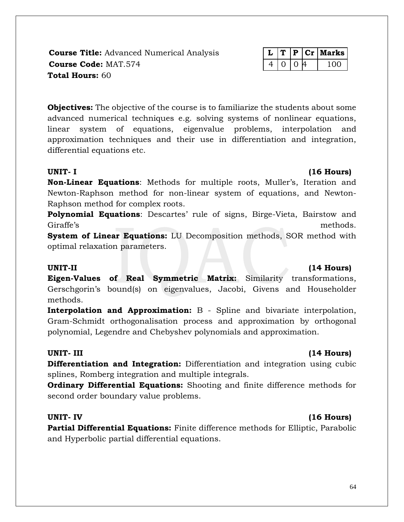**Course Title:** Advanced Numerical Analysis **Course Code: MAT.574 Total Hours:** 60

|  | $\mathbf{P}$ | C. | Aarks I |
|--|--------------|----|---------|
|  |              |    |         |

**Objectives:** The objective of the course is to familiarize the students about some advanced numerical techniques e.g. solving systems of nonlinear equations, linear system of equations, eigenvalue problems, interpolation and approximation techniques and their use in differentiation and integration, differential equations etc.

## **UNIT- I (16 Hours)**

**Non-Linear Equations**: Methods for multiple roots, Muller's, Iteration and Newton-Raphson method for non-linear system of equations, and Newton-Raphson method for complex roots.

**Polynomial Equations**: Descartes' rule of signs, Birge-Vieta, Bairstow and Giraffe's methods.

**System of Linear Equations:** LU Decomposition methods, SOR method with optimal relaxation parameters.

### **UNIT-II (14 Hours)**

**Eigen-Values of Real Symmetric Matrix:** Similarity transformations, Gerschgorin's bound(s) on eigenvalues, Jacobi, Givens and Householder methods.

**Interpolation and Approximation:** B - Spline and bivariate interpolation, Gram-Schmidt orthogonalisation process and approximation by orthogonal polynomial, Legendre and Chebyshev polynomials and approximation.

**Differentiation and Integration:** Differentiation and integration using cubic splines, Romberg integration and multiple integrals.

**Ordinary Differential Equations:** Shooting and finite difference methods for second order boundary value problems.

### **UNIT- IV (16 Hours)**

**Partial Differential Equations:** Finite difference methods for Elliptic, Parabolic and Hyperbolic partial differential equations.

## **UNIT- III (14 Hours)**

### 64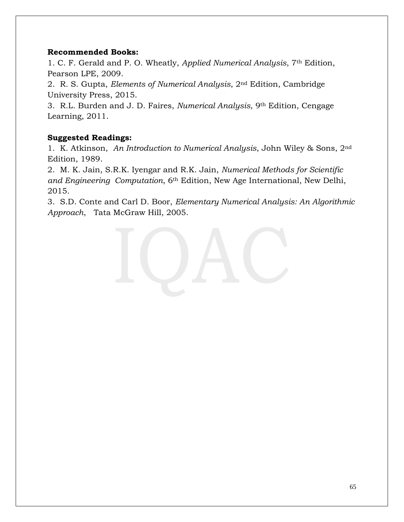### **Recommended Books:**

1. C. F. Gerald and P. O. Wheatly, *Applied Numerical Analysis*, 7th Edition, Pearson LPE, 2009.

2. R. S. Gupta, *Elements of Numerical Analysis*, 2nd Edition, Cambridge University Press, 2015.

3. R.L. Burden and J. D. Faires, *Numerical Analysis*, 9th Edition, Cengage Learning, 2011.

## **Suggested Readings:**

1. K. Atkinson, *An Introduction to Numerical Analysis*, John Wiley & Sons, 2nd Edition, 1989.

2. M. K. Jain, S.R.K. Iyengar and R.K. Jain, *Numerical Methods for Scientific and Engineering Computation*, 6th Edition, New Age International, New Delhi, 2015.

3. S.D. Conte and Carl D. Boor, *Elementary Numerical Analysis: An Algorithmic Approach*, Tata McGraw Hill, 2005.

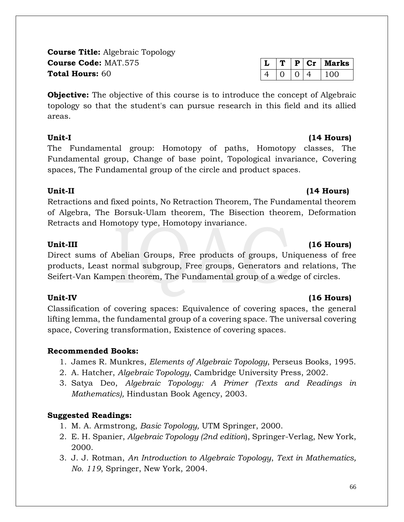**Course Title:** Algebraic Topology **Course Code:** MAT.575 **Total Hours:** 60

**Objective:** The objective of this course is to introduce the concept of Algebraic topology so that the student's can pursue research in this field and its allied areas.

The Fundamental group: Homotopy of paths, Homotopy classes, The Fundamental group, Change of base point, Topological invariance, Covering spaces, The Fundamental group of the circle and product spaces.

## **Unit-II (14 Hours)**

Retractions and fixed points, No Retraction Theorem, The Fundamental theorem of Algebra, The Borsuk-Ulam theorem, The Bisection theorem, Deformation Retracts and Homotopy type, Homotopy invariance.

Direct sums of Abelian Groups, Free products of groups, Uniqueness of free products, Least normal subgroup, Free groups, Generators and relations, The Seifert-Van Kampen theorem, The Fundamental group of a wedge of circles.

Classification of covering spaces: Equivalence of covering spaces, the general lifting lemma, the fundamental group of a covering space. The universal covering space, Covering transformation, Existence of covering spaces.

## **Recommended Books:**

- 1. James R. Munkres, *Elements of Algebraic Topology*, Perseus Books, 1995.
- 2. A. Hatcher, *Algebraic Topology*, Cambridge University Press, 2002.
- 3. Satya Deo, *Algebraic Topology: A Primer (Texts and Readings in Mathematics),* Hindustan Book Agency, 2003.

## **Suggested Readings:**

- 1. M. A. Armstrong, *Basic Topology,* UTM Springer, 2000.
- 2. E. H. Spanier, *Algebraic Topology (2nd edition*), Springer-Verlag, New York, 2000.
- 3. J. J. Rotman, *An Introduction to Algebraic Topology*, *Text in Mathematics, No. 119*, Springer, New York, 2004.

## Unit-III (16 Hours)

## Unit-IV (16 Hours)

# Unit-I (14 Hours)

 $L | T | P | Cr |$  Marks  $4 | 0 | 0 | 4 | 100$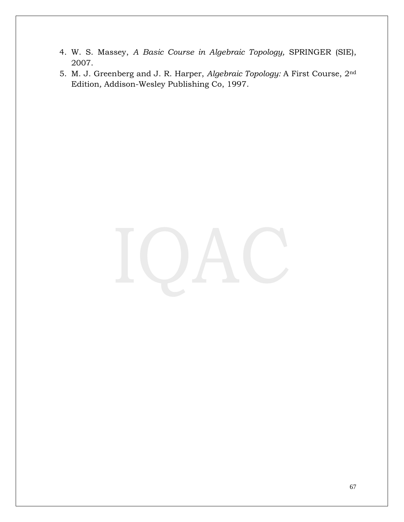- 4. W. S. Massey, *A Basic Course in Algebraic Topology,* SPRINGER (SIE), 2007.
- 5. M. J. Greenberg and J. R. Harper, *Algebraic Topology:* A First Course, 2nd Edition*,* Addison-Wesley Publishing Co, 1997.

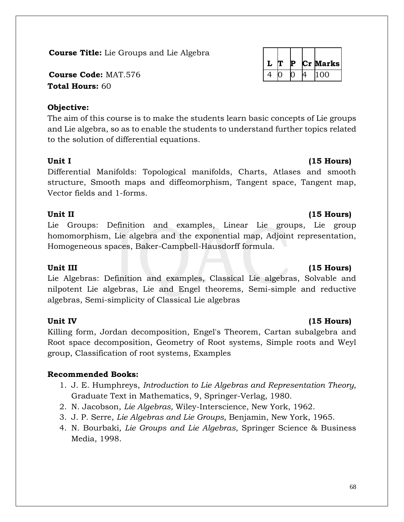## **Course Title:** Lie Groups and Lie Algebra

**Course Code: MAT.576 Total Hours:** 60

## **Objective:**

The aim of this course is to make the students learn basic concepts of Lie groups and Lie algebra, so as to enable the students to understand further topics related to the solution of differential equations.

Differential Manifolds: Topological manifolds, Charts, Atlases and smooth structure, Smooth maps and diffeomorphism, Tangent space, Tangent map, Vector fields and 1-forms.

## **Unit II (15 Hours)**

Lie Groups: Definition and examples, Linear Lie groups, Lie group homomorphism, Lie algebra and the exponential map, Adjoint representation, Homogeneous spaces, Baker-Campbell-Hausdorff formula.

Lie Algebras: Definition and examples, Classical Lie algebras, Solvable and nilpotent Lie algebras, Lie and Engel theorems, Semi-simple and reductive algebras, Semi-simplicity of Classical Lie algebras

## **Unit IV (15 Hours)**

Killing form, Jordan decomposition, Engel's Theorem, Cartan subalgebra and Root space decomposition, Geometry of Root systems, Simple roots and Weyl group, Classification of root systems, Examples

## **Recommended Books:**

- 1. J. E. Humphreys, *Introduction to Lie Algebras and Representation Theory,* Graduate Text in Mathematics, 9, Springer-Verlag, 1980.
- 2. N. Jacobson, *Lie Algebras,* Wiley-Interscience, New York, 1962.
- 3. J. P. Serre, *Lie Algebras and Lie Groups,* Benjamin, New York, 1965.
- 4. N. Bourbaki*, Lie Groups and Lie Algebras*, Springer Science & Business Media, 1998.

|  |  | P. | Marks |
|--|--|----|-------|
|  |  |    | 100   |

## **Unit III (15 Hours)**

# Unit I (15 Hours)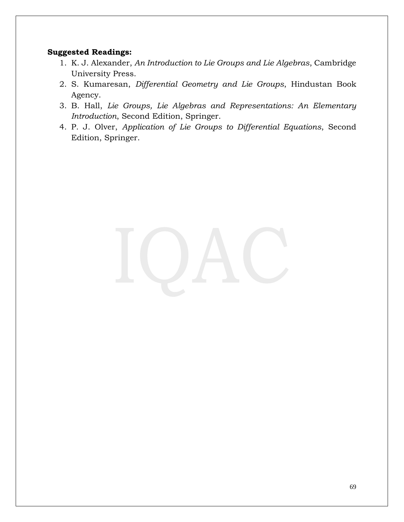- 1. K. J. Alexander, *An Introduction to Lie Groups and Lie Algebras*, Cambridge University Press.
- 2. S. Kumaresan, *Differential Geometry and Lie Groups*, Hindustan Book Agency.
- 3. B. Hall, *Lie Groups, Lie Algebras and Representations: An Elementary Introduction*, Second Edition, Springer.
- 4. P. J. Olver, *Application of Lie Groups to Differential Equations*, Second Edition, Springer.

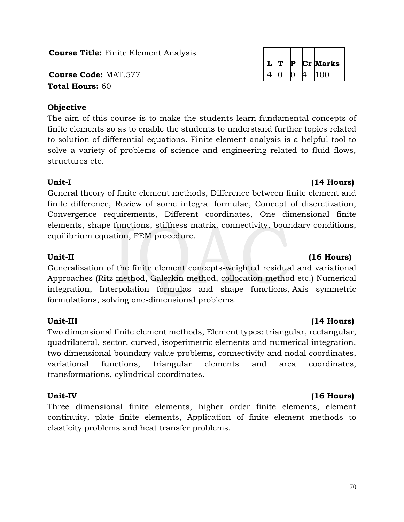## **Course Title:** Finite Element Analysis

**Course Code:** MAT.577  $\vert$  4 0  $\vert$  4 0  $\vert$  4 100 **Total Hours:** 60

## **Objective**

The aim of this course is to make the students learn fundamental concepts of finite elements so as to enable the students to understand further topics related to solution of differential equations. Finite element analysis is a helpful tool to solve a variety of problems of science and engineering related to fluid flows, structures etc.

General theory of finite element methods, Difference between finite element and finite difference, Review of some integral formulae, Concept of discretization, Convergence requirements, Different coordinates, One dimensional finite elements, shape functions, stiffness matrix, connectivity, boundary conditions, equilibrium equation, FEM procedure.

Generalization of the finite element concepts-weighted residual and variational Approaches (Ritz method, Galerkin method, collocation method etc.) Numerical integration, Interpolation formulas and shape functions, Axis symmetric formulations, solving one-dimensional problems.

Two dimensional finite element methods, Element types: triangular, rectangular, quadrilateral, sector, curved, isoperimetric elements and numerical integration, two dimensional boundary value problems, connectivity and nodal coordinates, variational functions, triangular elements and area coordinates, transformations, cylindrical coordinates.

Three dimensional finite elements, higher order finite elements, element continuity, plate finite elements, Application of finite element methods to elasticity problems and heat transfer problems.

## Unit-II (16 **Hours)** (16 **Hours)**

## **Unit-I (14 Hours)**

# **Unit-III (14 Hours)**



## Unit-IV (16 **Hours)**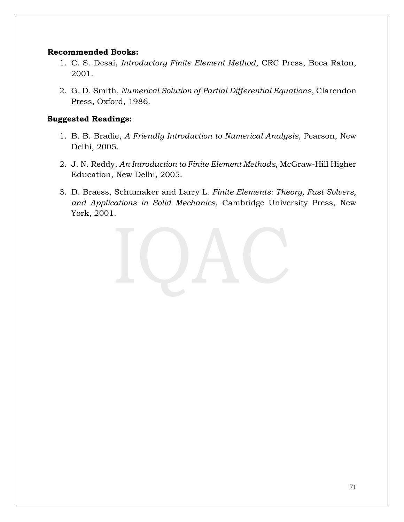### **Recommended Books:**

- 1. C. S. Desai, *Introductory Finite Element Method*, CRC Press, Boca Raton, 2001.
- 2. G. D. Smith, *Numerical Solution of Partial Differential Equations*, Clarendon Press, Oxford, 1986.

- 1. B. B. Bradie, *A Friendly Introduction to Numerical Analysis,* Pearson, New Delhi, 2005.
- 2. J. N. Reddy, *An Introduction to Finite Element Methods,* McGraw-Hill Higher Education, New Delhi, 2005.
- 3. D. Braess, Schumaker and Larry L. *Finite Elements: Theory, Fast Solvers, and Applications in Solid Mechanics,* Cambridge University Press, New York, 2001.

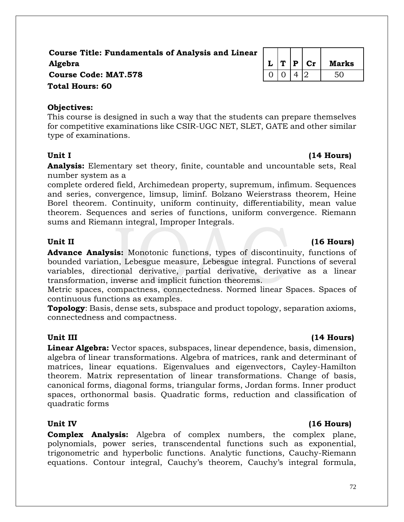## **Course Title: Fundamentals of Analysis and Linear Algebra L T P Cr Marks Course Code: MAT.578** 0 0 0 4 2 50 **Total Hours: 60**

## **Objectives:**

This course is designed in such a way that the students can prepare themselves for competitive examinations like CSIR-UGC NET, SLET, GATE and other similar type of examinations.

**Analysis:** Elementary set theory, finite, countable and uncountable sets, Real number system as a

complete ordered field, Archimedean property, supremum, infimum. Sequences and series, convergence, limsup, liminf. Bolzano Weierstrass theorem, Heine Borel theorem. Continuity, uniform continuity, differentiability, mean value theorem. Sequences and series of functions, uniform convergence. Riemann sums and Riemann integral, Improper Integrals.

**Advance Analysis:** Monotonic functions, types of discontinuity, functions of bounded variation, Lebesgue measure, Lebesgue integral. Functions of several variables, directional derivative, partial derivative, derivative as a linear transformation, inverse and implicit function theorems.

Metric spaces, compactness, connectedness. Normed linear Spaces. Spaces of continuous functions as examples.

**Topology**: Basis, dense sets, subspace and product topology, separation axioms, connectedness and compactness.

## **Unit III (14 Hours)**

**Linear Algebra:** Vector spaces, subspaces, linear dependence, basis, dimension, algebra of linear transformations. Algebra of matrices, rank and determinant of matrices, linear equations. Eigenvalues and eigenvectors, Cayley-Hamilton theorem. Matrix representation of linear transformations. Change of basis, canonical forms, diagonal forms, triangular forms, Jordan forms. Inner product spaces, orthonormal basis. Quadratic forms, reduction and classification of quadratic forms

## Unit IV (16 Hours)

**Complex Analysis:** Algebra of complex numbers, the complex plane, polynomials, power series, transcendental functions such as exponential, trigonometric and hyperbolic functions. Analytic functions, Cauchy-Riemann equations. Contour integral, Cauchy's theorem, Cauchy's integral formula,

## Unit II (16 Hours)

## Unit I (14 **Hours)**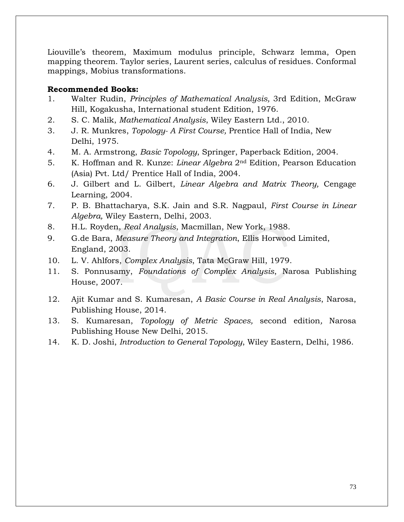Liouville's theorem, Maximum modulus principle, Schwarz lemma, Open mapping theorem. Taylor series, Laurent series, calculus of residues. Conformal mappings, Mobius transformations.

## **Recommended Books:**

- 1. Walter Rudin, *Principles of Mathematical Analysis,* 3rd Edition, McGraw Hill, Kogakusha, International student Edition, 1976.
- 2. S. C. Malik, *Mathematical Analysis*, Wiley Eastern Ltd., 2010.
- 3. J. R. Munkres, *Topology- A First Course,* Prentice Hall of India, New Delhi, 1975.
- 4. M. A. Armstrong, *Basic Topology*, Springer, Paperback Edition, 2004.
- 5. K. Hoffman and R. Kunze: *Linear Algebra* 2nd Edition, Pearson Education (Asia) Pvt. Ltd/ Prentice Hall of India, 2004.
- 6. J. Gilbert and L. Gilbert, *Linear Algebra and Matrix Theory,* Cengage Learning, 2004.
- 7. P. B. Bhattacharya, S.K. Jain and S.R. Nagpaul, *First Course in Linear Algebra,* Wiley Eastern, Delhi, 2003.
- 8. H.L. Royden, *Real Analysis*, Macmillan, New York, 1988.
- 9. G.de Bara, *Measure Theory and Integration*, Ellis Horwood Limited, England, 2003.
- 10. L. V. Ahlfors, *Complex Analysis*, Tata McGraw Hill, 1979.
- 11. S. Ponnusamy, *Foundations of Complex Analysis*, Narosa Publishing House, 2007.
- 12. Ajit Kumar and S. Kumaresan, *A Basic Course in Real Analysis*, Narosa, Publishing House, 2014.
- 13. S. Kumaresan, *Topology of Metric Spaces,* second edition*,* Narosa Publishing House New Delhi, 2015.
- 14. K. D. Joshi, *Introduction to General Topology*, Wiley Eastern, Delhi, 1986.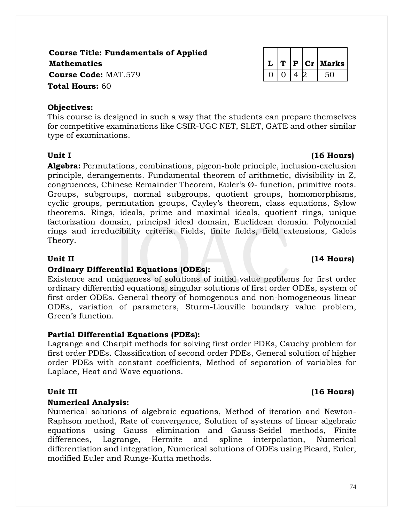Unit I (16 Hours)

**Course Title: Fundamentals of Applied Mathematics L T P Cr Marks Course Code:** MAT.579 0 0 0 4 2 50 **Total Hours:** 60

# **Objectives:**

This course is designed in such a way that the students can prepare themselves for competitive examinations like CSIR-UGC NET, SLET, GATE and other similar type of examinations.

**Algebra:** Permutations, combinations, pigeon-hole principle, inclusion-exclusion principle, derangements. Fundamental theorem of arithmetic, divisibility in Z, congruences, Chinese Remainder Theorem, Euler's Ø- function, primitive roots. Groups, subgroups, normal subgroups, quotient groups, homomorphisms, cyclic groups, permutation groups, Cayley's theorem, class equations, Sylow theorems. Rings, ideals, prime and maximal ideals, quotient rings, unique factorization domain, principal ideal domain, Euclidean domain. Polynomial rings and irreducibility criteria. Fields, finite fields, field extensions, Galois Theory.

# Unit II (14 Hours)

# **Ordinary Differential Equations (ODEs):**

Existence and uniqueness of solutions of initial value problems for first order ordinary differential equations, singular solutions of first order ODEs, system of first order ODEs. General theory of homogenous and non-homogeneous linear ODEs, variation of parameters, Sturm-Liouville boundary value problem, Green's function.

# **Partial Differential Equations (PDEs):**

Lagrange and Charpit methods for solving first order PDEs, Cauchy problem for first order PDEs. Classification of second order PDEs, General solution of higher order PDEs with constant coefficients, Method of separation of variables for Laplace, Heat and Wave equations.

# **Unit III (16 Hours)**

# **Numerical Analysis:**

Numerical solutions of algebraic equations, Method of iteration and Newton-Raphson method, Rate of convergence, Solution of systems of linear algebraic equations using Gauss elimination and Gauss-Seidel methods, Finite differences, Lagrange, Hermite and spline interpolation, Numerical differentiation and integration, Numerical solutions of ODEs using Picard, Euler, modified Euler and Runge-Kutta methods.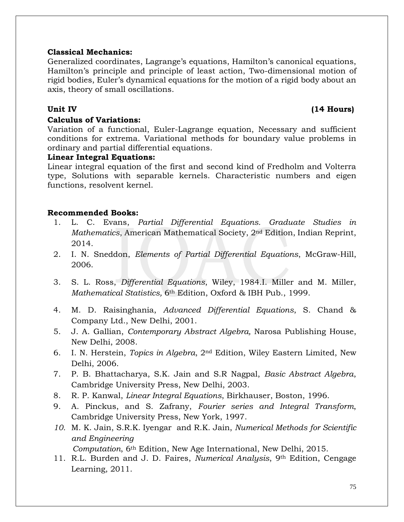## **Classical Mechanics:**

Generalized coordinates, Lagrange's equations, Hamilton's canonical equations, Hamilton's principle and principle of least action, Two-dimensional motion of rigid bodies, Euler's dynamical equations for the motion of a rigid body about an axis, theory of small oscillations.

## **Calculus of Variations:**

### **Unit IV (14 Hours)**

Variation of a functional, Euler-Lagrange equation, Necessary and sufficient conditions for extrema. Variational methods for boundary value problems in ordinary and partial differential equations.

### **Linear Integral Equations:**

Linear integral equation of the first and second kind of Fredholm and Volterra type, Solutions with separable kernels. Characteristic numbers and eigen functions, resolvent kernel.

## **Recommended Books:**

- 1. L. C. Evans, *Partial Differential Equations. Graduate Studies in Mathematics*, American Mathematical Society, 2nd Edition, Indian Reprint, 2014.
- 2. I. N. Sneddon, *Elements of Partial Differential Equations*, McGraw-Hill, 2006.
- 3. S. L. Ross, *Differential Equations*, Wiley, 1984.I. Miller and M. Miller, *Mathematical Statistics,* 6th Edition, Oxford & IBH Pub., 1999.
- 4. M. D. Raisinghania, *Advanced Differential Equations*, S. Chand & Company Ltd., New Delhi, 2001.
- 5. J. A. Gallian, *Contemporary Abstract Algebra,* Narosa Publishing House, New Delhi, 2008.
- 6. I. N. Herstein, *Topics in Algebra*, 2nd Edition, Wiley Eastern Limited, New Delhi, 2006.
- 7. P. B. Bhattacharya, S.K. Jain and S.R Nagpal, *Basic Abstract Algebra*, Cambridge University Press, New Delhi, 2003.
- 8. R. P. Kanwal, *Linear Integral Equations*, Birkhauser, Boston, 1996.
- 9. A. Pinckus, and S. Zafrany, *Fourier series and Integral Transform*, Cambridge University Press, New York, 1997.
- *10.* M. K. Jain, S.R.K. Iyengar and R.K. Jain, *Numerical Methods for Scientific and Engineering*

 *Computation*, 6th Edition, New Age International, New Delhi, 2015.

11. R.L. Burden and J. D. Faires, *Numerical Analysis*, 9th Edition, Cengage Learning, 2011.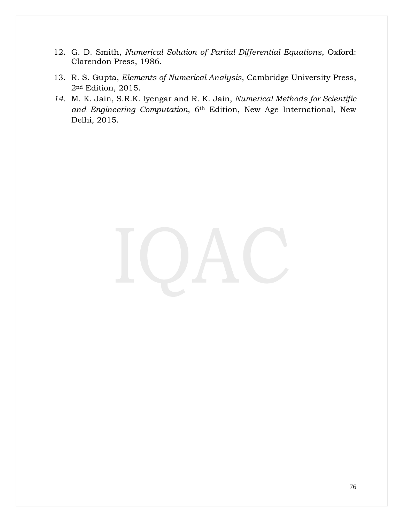- 12. G. D. Smith, *Numerical Solution of Partial Differential Equations*, Oxford: Clarendon Press, 1986.
- 13. R. S. Gupta, *Elements of Numerical Analysis*, Cambridge University Press, 2nd Edition, 2015.
- *14.* M. K. Jain, S.R.K. Iyengar and R. K. Jain, *Numerical Methods for Scientific and Engineering Computation*, 6th Edition, New Age International, New Delhi, 2015.